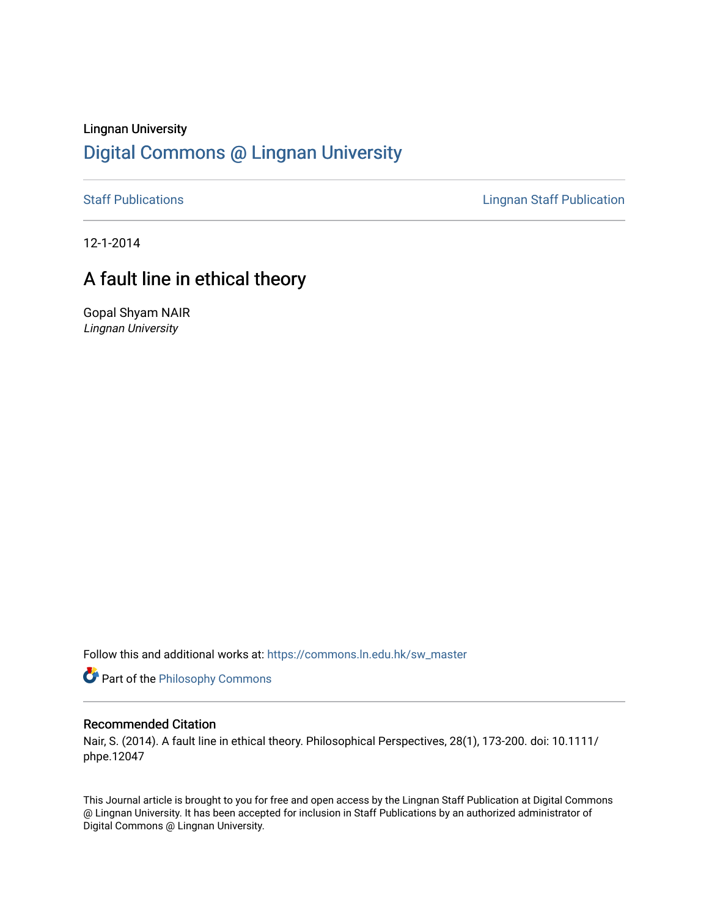## Lingnan University [Digital Commons @ Lingnan University](https://commons.ln.edu.hk/)

[Staff Publications](https://commons.ln.edu.hk/sw_master) **Staff Publications Lingnan Staff Publication** 

12-1-2014

## A fault line in ethical theory

Gopal Shyam NAIR Lingnan University

Follow this and additional works at: [https://commons.ln.edu.hk/sw\\_master](https://commons.ln.edu.hk/sw_master?utm_source=commons.ln.edu.hk%2Fsw_master%2F3100&utm_medium=PDF&utm_campaign=PDFCoverPages) 

Part of the [Philosophy Commons](http://network.bepress.com/hgg/discipline/525?utm_source=commons.ln.edu.hk%2Fsw_master%2F3100&utm_medium=PDF&utm_campaign=PDFCoverPages) 

## Recommended Citation

Nair, S. (2014). A fault line in ethical theory. Philosophical Perspectives, 28(1), 173-200. doi: 10.1111/ phpe.12047

This Journal article is brought to you for free and open access by the Lingnan Staff Publication at Digital Commons @ Lingnan University. It has been accepted for inclusion in Staff Publications by an authorized administrator of Digital Commons @ Lingnan University.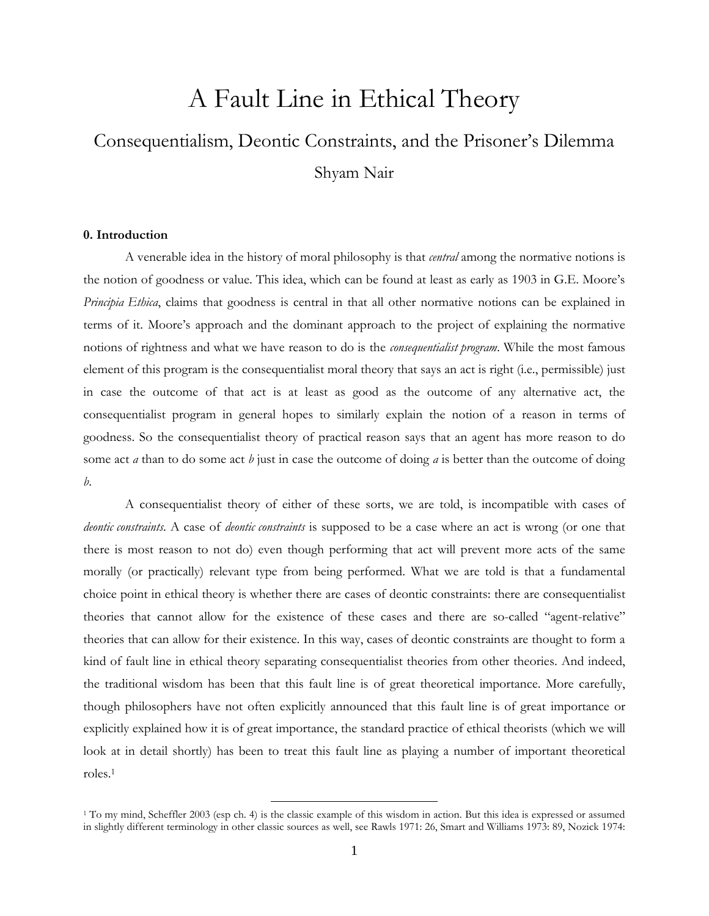# A Fault Line in Ethical Theory

# Consequentialism, Deontic Constraints, and the Prisoner's Dilemma Shyam Nair

## **0. Introduction**

A venerable idea in the history of moral philosophy is that *central* among the normative notions is the notion of goodness or value. This idea, which can be found at least as early as 1903 in G.E. Moore's *Principia Ethica*, claims that goodness is central in that all other normative notions can be explained in terms of it. Moore's approach and the dominant approach to the project of explaining the normative notions of rightness and what we have reason to do is the *consequentialist program*. While the most famous element of this program is the consequentialist moral theory that says an act is right (i.e., permissible) just in case the outcome of that act is at least as good as the outcome of any alternative act, the consequentialist program in general hopes to similarly explain the notion of a reason in terms of goodness. So the consequentialist theory of practical reason says that an agent has more reason to do some act *a* than to do some act *b* just in case the outcome of doing *a* is better than the outcome of doing *b*.

A consequentialist theory of either of these sorts, we are told, is incompatible with cases of *deontic constraints*. A case of *deontic constraints* is supposed to be a case where an act is wrong (or one that there is most reason to not do) even though performing that act will prevent more acts of the same morally (or practically) relevant type from being performed. What we are told is that a fundamental choice point in ethical theory is whether there are cases of deontic constraints: there are consequentialist theories that cannot allow for the existence of these cases and there are so-called "agent-relative" theories that can allow for their existence. In this way, cases of deontic constraints are thought to form a kind of fault line in ethical theory separating consequentialist theories from other theories. And indeed, the traditional wisdom has been that this fault line is of great theoretical importance. More carefully, though philosophers have not often explicitly announced that this fault line is of great importance or explicitly explained how it is of great importance, the standard practice of ethical theorists (which we will look at in detail shortly) has been to treat this fault line as playing a number of important theoretical roles.<sup>1</sup>

<sup>1</sup> To my mind, Scheffler 2003 (esp ch. 4) is the classic example of this wisdom in action. But this idea is expressed or assumed in slightly different terminology in other classic sources as well, see Rawls 1971: 26, Smart and Williams 1973: 89, Nozick 1974: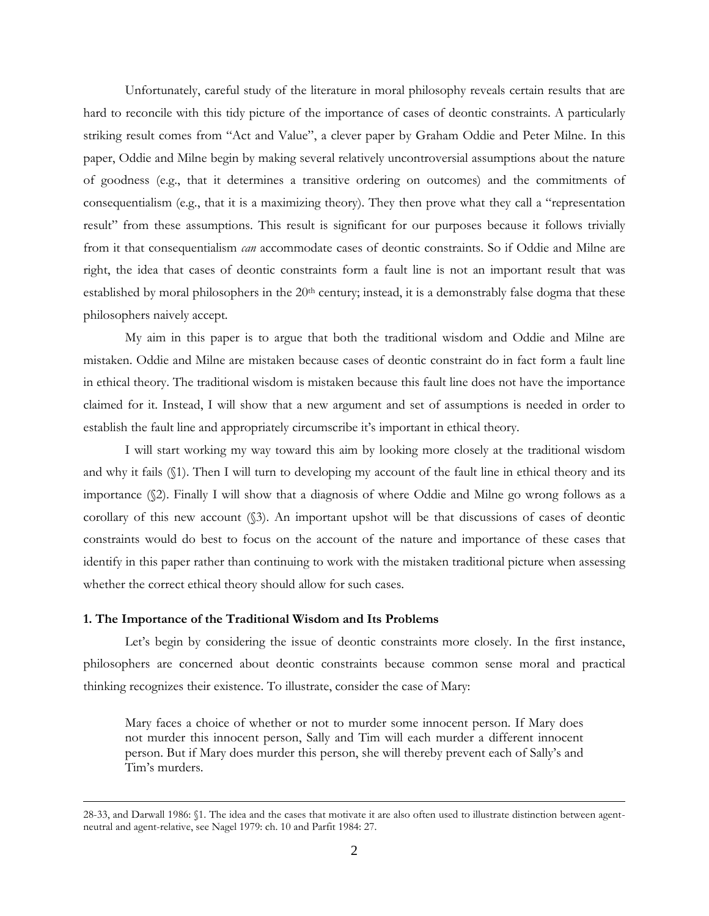Unfortunately, careful study of the literature in moral philosophy reveals certain results that are hard to reconcile with this tidy picture of the importance of cases of deontic constraints. A particularly striking result comes from "Act and Value", a clever paper by Graham Oddie and Peter Milne. In this paper, Oddie and Milne begin by making several relatively uncontroversial assumptions about the nature of goodness (e.g., that it determines a transitive ordering on outcomes) and the commitments of consequentialism (e.g., that it is a maximizing theory). They then prove what they call a "representation result" from these assumptions. This result is significant for our purposes because it follows trivially from it that consequentialism *can* accommodate cases of deontic constraints. So if Oddie and Milne are right, the idea that cases of deontic constraints form a fault line is not an important result that was established by moral philosophers in the 20<sup>th</sup> century; instead, it is a demonstrably false dogma that these philosophers naively accept.

My aim in this paper is to argue that both the traditional wisdom and Oddie and Milne are mistaken. Oddie and Milne are mistaken because cases of deontic constraint do in fact form a fault line in ethical theory. The traditional wisdom is mistaken because this fault line does not have the importance claimed for it. Instead, I will show that a new argument and set of assumptions is needed in order to establish the fault line and appropriately circumscribe it's important in ethical theory.

I will start working my way toward this aim by looking more closely at the traditional wisdom and why it fails (§1). Then I will turn to developing my account of the fault line in ethical theory and its importance (§2). Finally I will show that a diagnosis of where Oddie and Milne go wrong follows as a corollary of this new account (§3). An important upshot will be that discussions of cases of deontic constraints would do best to focus on the account of the nature and importance of these cases that identify in this paper rather than continuing to work with the mistaken traditional picture when assessing whether the correct ethical theory should allow for such cases.

## **1. The Importance of the Traditional Wisdom and Its Problems**

 $\overline{a}$ 

Let's begin by considering the issue of deontic constraints more closely. In the first instance, philosophers are concerned about deontic constraints because common sense moral and practical thinking recognizes their existence. To illustrate, consider the case of Mary:

Mary faces a choice of whether or not to murder some innocent person. If Mary does not murder this innocent person, Sally and Tim will each murder a different innocent person. But if Mary does murder this person, she will thereby prevent each of Sally's and Tim's murders.

<sup>28-33,</sup> and Darwall 1986: §1. The idea and the cases that motivate it are also often used to illustrate distinction between agentneutral and agent-relative, see Nagel 1979: ch. 10 and Parfit 1984: 27.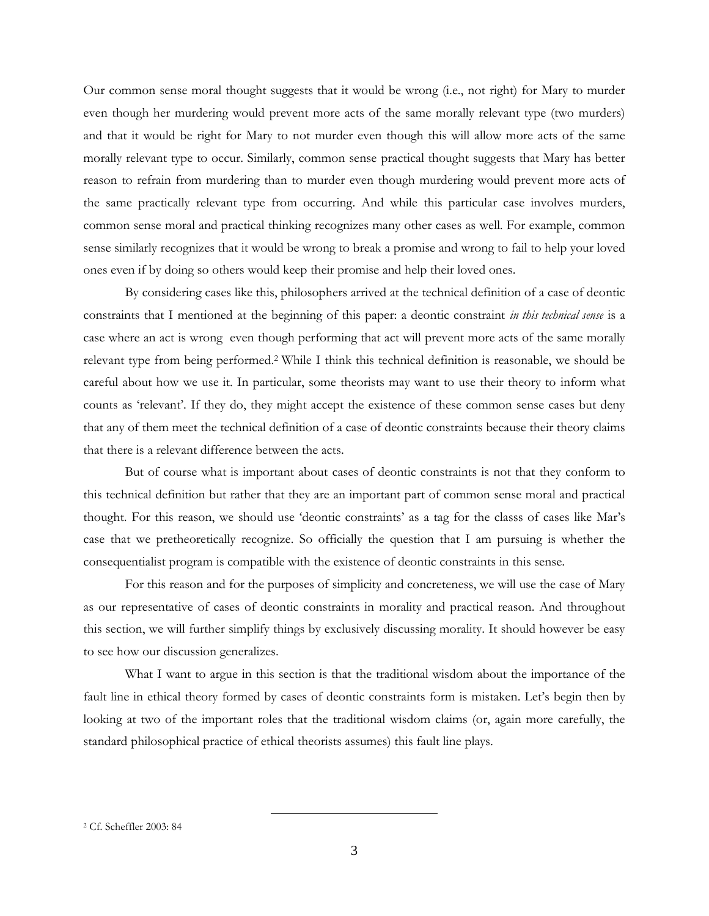Our common sense moral thought suggests that it would be wrong (i.e., not right) for Mary to murder even though her murdering would prevent more acts of the same morally relevant type (two murders) and that it would be right for Mary to not murder even though this will allow more acts of the same morally relevant type to occur. Similarly, common sense practical thought suggests that Mary has better reason to refrain from murdering than to murder even though murdering would prevent more acts of the same practically relevant type from occurring. And while this particular case involves murders, common sense moral and practical thinking recognizes many other cases as well. For example, common sense similarly recognizes that it would be wrong to break a promise and wrong to fail to help your loved ones even if by doing so others would keep their promise and help their loved ones.

By considering cases like this, philosophers arrived at the technical definition of a case of deontic constraints that I mentioned at the beginning of this paper: a deontic constraint *in this technical sense* is a case where an act is wrong even though performing that act will prevent more acts of the same morally relevant type from being performed.<sup>2</sup> While I think this technical definition is reasonable, we should be careful about how we use it. In particular, some theorists may want to use their theory to inform what counts as 'relevant'. If they do, they might accept the existence of these common sense cases but deny that any of them meet the technical definition of a case of deontic constraints because their theory claims that there is a relevant difference between the acts.

But of course what is important about cases of deontic constraints is not that they conform to this technical definition but rather that they are an important part of common sense moral and practical thought. For this reason, we should use 'deontic constraints' as a tag for the classs of cases like Mar's case that we pretheoretically recognize. So officially the question that I am pursuing is whether the consequentialist program is compatible with the existence of deontic constraints in this sense.

For this reason and for the purposes of simplicity and concreteness, we will use the case of Mary as our representative of cases of deontic constraints in morality and practical reason. And throughout this section, we will further simplify things by exclusively discussing morality. It should however be easy to see how our discussion generalizes.

What I want to argue in this section is that the traditional wisdom about the importance of the fault line in ethical theory formed by cases of deontic constraints form is mistaken. Let's begin then by looking at two of the important roles that the traditional wisdom claims (or, again more carefully, the standard philosophical practice of ethical theorists assumes) this fault line plays.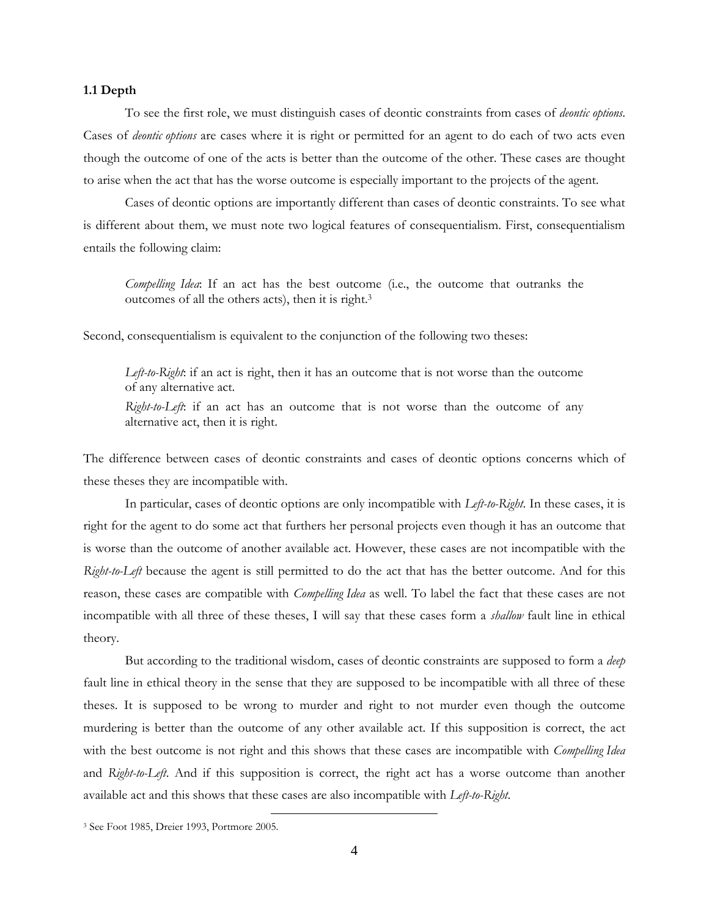## **1.1 Depth**

To see the first role, we must distinguish cases of deontic constraints from cases of *deontic options*. Cases of *deontic options* are cases where it is right or permitted for an agent to do each of two acts even though the outcome of one of the acts is better than the outcome of the other. These cases are thought to arise when the act that has the worse outcome is especially important to the projects of the agent.

Cases of deontic options are importantly different than cases of deontic constraints. To see what is different about them, we must note two logical features of consequentialism. First, consequentialism entails the following claim:

*Compelling Idea*: If an act has the best outcome (i.e., the outcome that outranks the outcomes of all the others acts), then it is right.<sup>3</sup>

Second, consequentialism is equivalent to the conjunction of the following two theses:

*Left-to-Right*: if an act is right, then it has an outcome that is not worse than the outcome of any alternative act.

*Right-to-Left*: if an act has an outcome that is not worse than the outcome of any alternative act, then it is right.

The difference between cases of deontic constraints and cases of deontic options concerns which of these theses they are incompatible with.

In particular, cases of deontic options are only incompatible with *Left-to-Right*. In these cases, it is right for the agent to do some act that furthers her personal projects even though it has an outcome that is worse than the outcome of another available act. However, these cases are not incompatible with the *Right-to-Left* because the agent is still permitted to do the act that has the better outcome. And for this reason, these cases are compatible with *Compelling Idea* as well. To label the fact that these cases are not incompatible with all three of these theses, I will say that these cases form a *shallow* fault line in ethical theory.

But according to the traditional wisdom, cases of deontic constraints are supposed to form a *deep* fault line in ethical theory in the sense that they are supposed to be incompatible with all three of these theses. It is supposed to be wrong to murder and right to not murder even though the outcome murdering is better than the outcome of any other available act. If this supposition is correct, the act with the best outcome is not right and this shows that these cases are incompatible with *Compelling Idea* and *Right-to-Left*. And if this supposition is correct, the right act has a worse outcome than another available act and this shows that these cases are also incompatible with *Left-to-Right*.

<sup>3</sup> See Foot 1985, Dreier 1993, Portmore 2005.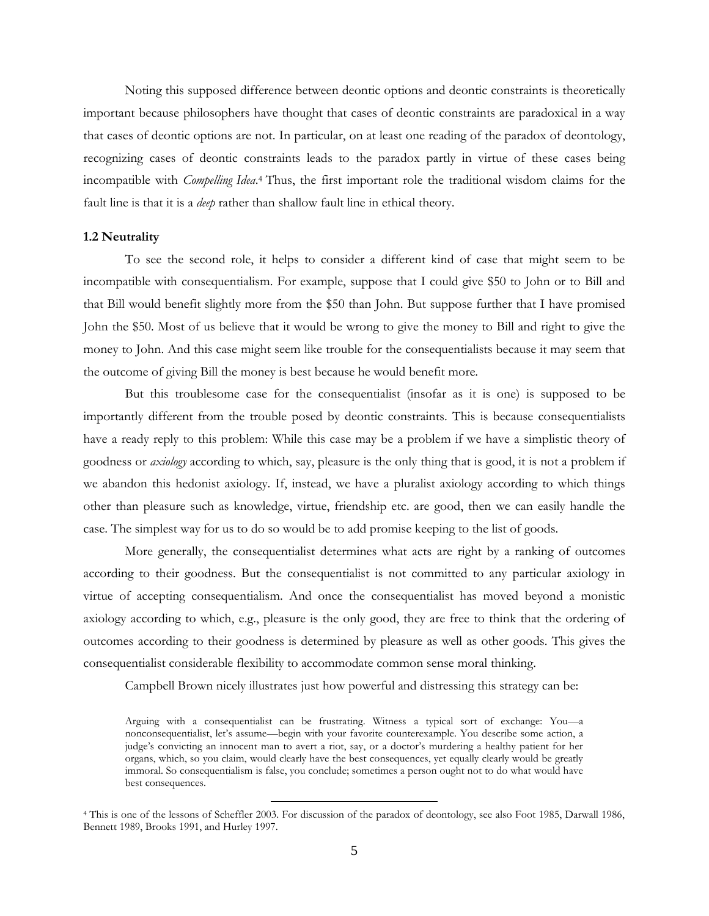Noting this supposed difference between deontic options and deontic constraints is theoretically important because philosophers have thought that cases of deontic constraints are paradoxical in a way that cases of deontic options are not. In particular, on at least one reading of the paradox of deontology, recognizing cases of deontic constraints leads to the paradox partly in virtue of these cases being incompatible with *Compelling Idea*. <sup>4</sup> Thus, the first important role the traditional wisdom claims for the fault line is that it is a *deep* rather than shallow fault line in ethical theory.

## **1.2 Neutrality**

To see the second role, it helps to consider a different kind of case that might seem to be incompatible with consequentialism. For example, suppose that I could give \$50 to John or to Bill and that Bill would benefit slightly more from the \$50 than John. But suppose further that I have promised John the \$50. Most of us believe that it would be wrong to give the money to Bill and right to give the money to John. And this case might seem like trouble for the consequentialists because it may seem that the outcome of giving Bill the money is best because he would benefit more.

But this troublesome case for the consequentialist (insofar as it is one) is supposed to be importantly different from the trouble posed by deontic constraints. This is because consequentialists have a ready reply to this problem: While this case may be a problem if we have a simplistic theory of goodness or *axiology* according to which, say, pleasure is the only thing that is good, it is not a problem if we abandon this hedonist axiology. If, instead, we have a pluralist axiology according to which things other than pleasure such as knowledge, virtue, friendship etc. are good, then we can easily handle the case. The simplest way for us to do so would be to add promise keeping to the list of goods.

More generally, the consequentialist determines what acts are right by a ranking of outcomes according to their goodness. But the consequentialist is not committed to any particular axiology in virtue of accepting consequentialism. And once the consequentialist has moved beyond a monistic axiology according to which, e.g., pleasure is the only good, they are free to think that the ordering of outcomes according to their goodness is determined by pleasure as well as other goods. This gives the consequentialist considerable flexibility to accommodate common sense moral thinking.

Campbell Brown nicely illustrates just how powerful and distressing this strategy can be:

Arguing with a consequentialist can be frustrating. Witness a typical sort of exchange: You—a nonconsequentialist, let's assume—begin with your favorite counterexample. You describe some action, a judge's convicting an innocent man to avert a riot, say, or a doctor's murdering a healthy patient for her organs, which, so you claim, would clearly have the best consequences, yet equally clearly would be greatly immoral. So consequentialism is false, you conclude; sometimes a person ought not to do what would have best consequences.

<sup>4</sup> This is one of the lessons of Scheffler 2003. For discussion of the paradox of deontology, see also Foot 1985, Darwall 1986, Bennett 1989, Brooks 1991, and Hurley 1997.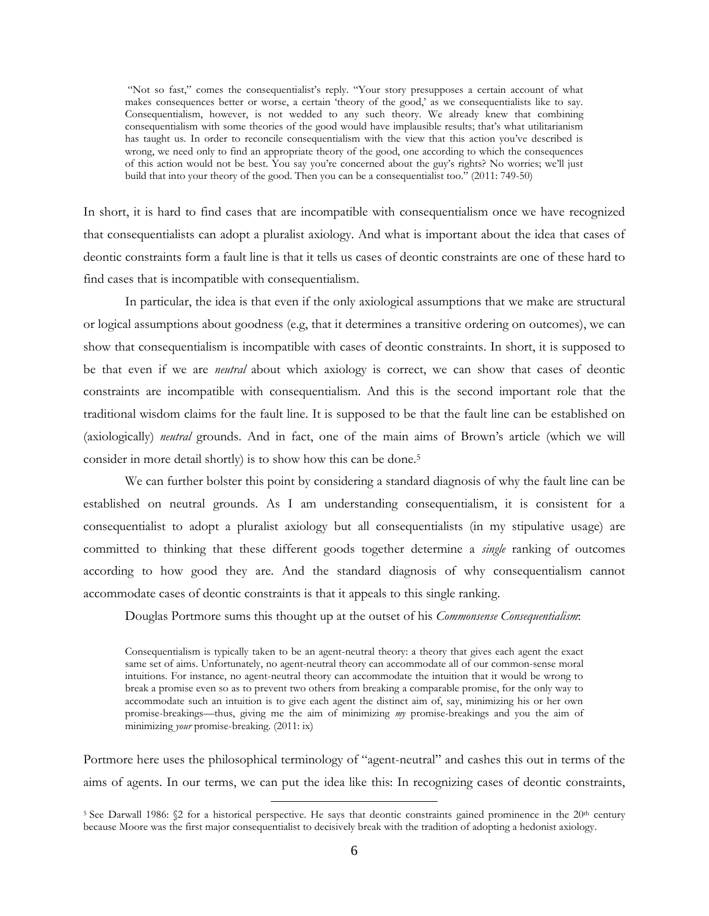"Not so fast," comes the consequentialist's reply. "Your story presupposes a certain account of what makes consequences better or worse, a certain 'theory of the good,' as we consequentialists like to say. Consequentialism, however, is not wedded to any such theory. We already knew that combining consequentialism with some theories of the good would have implausible results; that's what utilitarianism has taught us. In order to reconcile consequentialism with the view that this action you've described is wrong, we need only to find an appropriate theory of the good, one according to which the consequences of this action would not be best. You say you're concerned about the guy's rights? No worries; we'll just build that into your theory of the good. Then you can be a consequentialist too." (2011: 749-50)

In short, it is hard to find cases that are incompatible with consequentialism once we have recognized that consequentialists can adopt a pluralist axiology. And what is important about the idea that cases of deontic constraints form a fault line is that it tells us cases of deontic constraints are one of these hard to find cases that is incompatible with consequentialism.

In particular, the idea is that even if the only axiological assumptions that we make are structural or logical assumptions about goodness (e.g, that it determines a transitive ordering on outcomes), we can show that consequentialism is incompatible with cases of deontic constraints. In short, it is supposed to be that even if we are *neutral* about which axiology is correct, we can show that cases of deontic constraints are incompatible with consequentialism. And this is the second important role that the traditional wisdom claims for the fault line. It is supposed to be that the fault line can be established on (axiologically) *neutral* grounds. And in fact, one of the main aims of Brown's article (which we will consider in more detail shortly) is to show how this can be done.<sup>5</sup>

We can further bolster this point by considering a standard diagnosis of why the fault line can be established on neutral grounds. As I am understanding consequentialism, it is consistent for a consequentialist to adopt a pluralist axiology but all consequentialists (in my stipulative usage) are committed to thinking that these different goods together determine a *single* ranking of outcomes according to how good they are. And the standard diagnosis of why consequentialism cannot accommodate cases of deontic constraints is that it appeals to this single ranking.

Douglas Portmore sums this thought up at the outset of his *Commonsense Consequentialism*:

Consequentialism is typically taken to be an agent-neutral theory: a theory that gives each agent the exact same set of aims. Unfortunately, no agent-neutral theory can accommodate all of our common-sense moral intuitions. For instance, no agent-neutral theory can accommodate the intuition that it would be wrong to break a promise even so as to prevent two others from breaking a comparable promise, for the only way to accommodate such an intuition is to give each agent the distinct aim of, say, minimizing his or her own promise-breakings—thus, giving me the aim of minimizing *my* promise-breakings and you the aim of minimizing *your* promise-breaking. (2011: ix)

Portmore here uses the philosophical terminology of "agent-neutral" and cashes this out in terms of the aims of agents. In our terms, we can put the idea like this: In recognizing cases of deontic constraints,

<sup>&</sup>lt;sup>5</sup> See Darwall 1986: §2 for a historical perspective. He says that deontic constraints gained prominence in the 20<sup>th</sup> century because Moore was the first major consequentialist to decisively break with the tradition of adopting a hedonist axiology.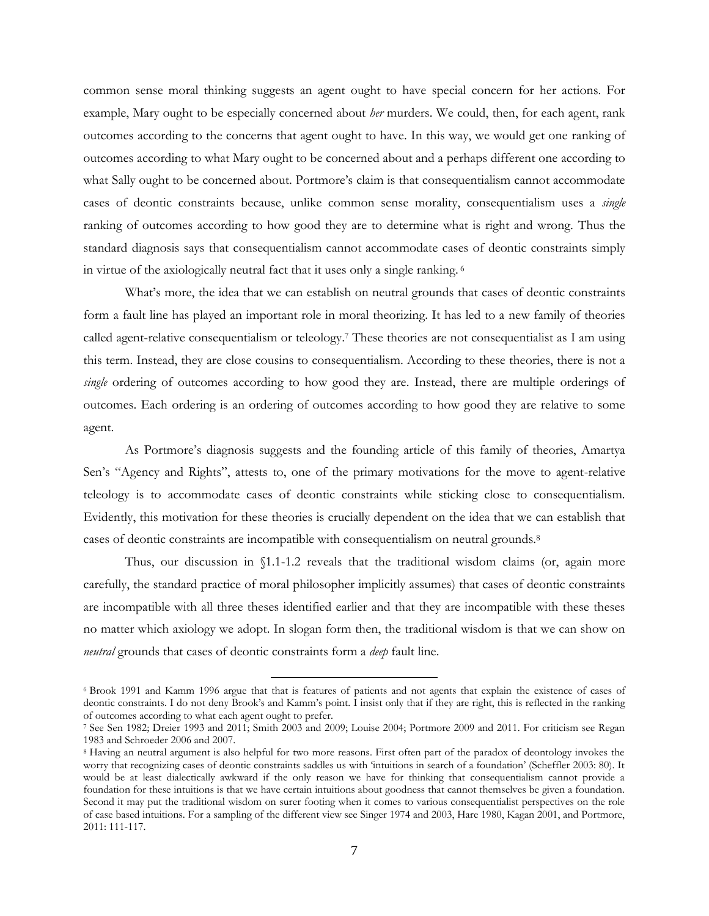common sense moral thinking suggests an agent ought to have special concern for her actions. For example, Mary ought to be especially concerned about *her* murders. We could, then, for each agent, rank outcomes according to the concerns that agent ought to have. In this way, we would get one ranking of outcomes according to what Mary ought to be concerned about and a perhaps different one according to what Sally ought to be concerned about. Portmore's claim is that consequentialism cannot accommodate cases of deontic constraints because, unlike common sense morality, consequentialism uses a *single* ranking of outcomes according to how good they are to determine what is right and wrong. Thus the standard diagnosis says that consequentialism cannot accommodate cases of deontic constraints simply in virtue of the axiologically neutral fact that it uses only a single ranking. <sup>6</sup>

What's more, the idea that we can establish on neutral grounds that cases of deontic constraints form a fault line has played an important role in moral theorizing. It has led to a new family of theories called agent-relative consequentialism or teleology.<sup>7</sup> These theories are not consequentialist as I am using this term. Instead, they are close cousins to consequentialism. According to these theories, there is not a *single* ordering of outcomes according to how good they are. Instead, there are multiple orderings of outcomes. Each ordering is an ordering of outcomes according to how good they are relative to some agent.

As Portmore's diagnosis suggests and the founding article of this family of theories, Amartya Sen's "Agency and Rights", attests to, one of the primary motivations for the move to agent-relative teleology is to accommodate cases of deontic constraints while sticking close to consequentialism. Evidently, this motivation for these theories is crucially dependent on the idea that we can establish that cases of deontic constraints are incompatible with consequentialism on neutral grounds.<sup>8</sup>

Thus, our discussion in §1.1-1.2 reveals that the traditional wisdom claims (or, again more carefully, the standard practice of moral philosopher implicitly assumes) that cases of deontic constraints are incompatible with all three theses identified earlier and that they are incompatible with these theses no matter which axiology we adopt. In slogan form then, the traditional wisdom is that we can show on *neutral* grounds that cases of deontic constraints form a *deep* fault line.

<sup>6</sup> Brook 1991 and Kamm 1996 argue that that is features of patients and not agents that explain the existence of cases of deontic constraints. I do not deny Brook's and Kamm's point. I insist only that if they are right, this is reflected in the ranking of outcomes according to what each agent ought to prefer.

<sup>7</sup> See Sen 1982; Dreier 1993 and 2011; Smith 2003 and 2009; Louise 2004; Portmore 2009 and 2011. For criticism see Regan 1983 and Schroeder 2006 and 2007.

<sup>8</sup> Having an neutral argument is also helpful for two more reasons. First often part of the paradox of deontology invokes the worry that recognizing cases of deontic constraints saddles us with 'intuitions in search of a foundation' (Scheffler 2003: 80). It would be at least dialectically awkward if the only reason we have for thinking that consequentialism cannot provide a foundation for these intuitions is that we have certain intuitions about goodness that cannot themselves be given a foundation. Second it may put the traditional wisdom on surer footing when it comes to various consequentialist perspectives on the role of case based intuitions. For a sampling of the different view see Singer 1974 and 2003, Hare 1980, Kagan 2001, and Portmore, 2011: 111-117.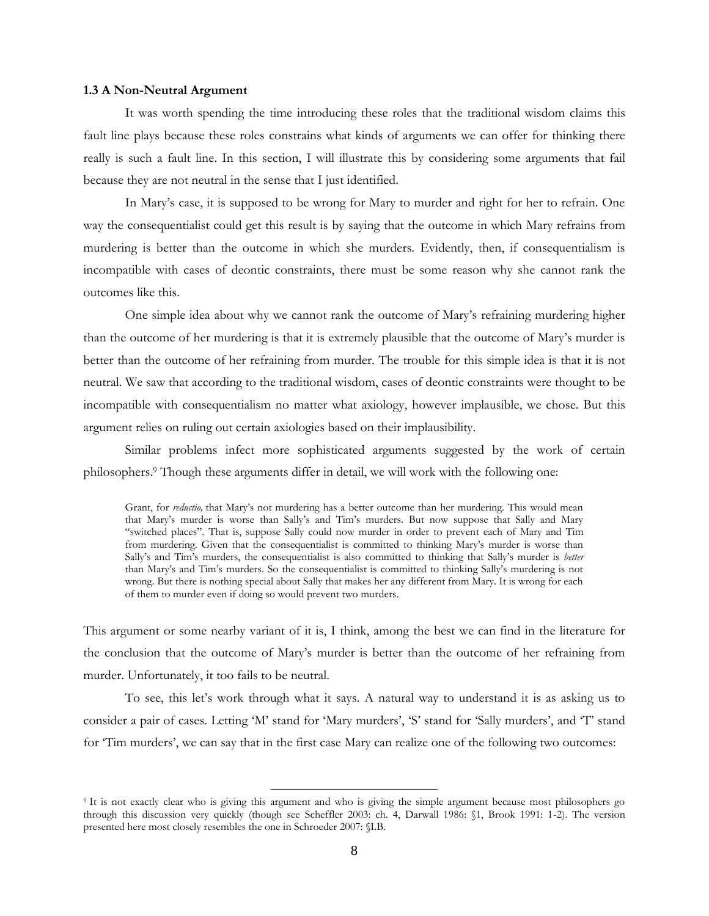## **1.3 A Non-Neutral Argument**

It was worth spending the time introducing these roles that the traditional wisdom claims this fault line plays because these roles constrains what kinds of arguments we can offer for thinking there really is such a fault line. In this section, I will illustrate this by considering some arguments that fail because they are not neutral in the sense that I just identified.

In Mary's case, it is supposed to be wrong for Mary to murder and right for her to refrain. One way the consequentialist could get this result is by saying that the outcome in which Mary refrains from murdering is better than the outcome in which she murders. Evidently, then, if consequentialism is incompatible with cases of deontic constraints, there must be some reason why she cannot rank the outcomes like this.

One simple idea about why we cannot rank the outcome of Mary's refraining murdering higher than the outcome of her murdering is that it is extremely plausible that the outcome of Mary's murder is better than the outcome of her refraining from murder. The trouble for this simple idea is that it is not neutral. We saw that according to the traditional wisdom, cases of deontic constraints were thought to be incompatible with consequentialism no matter what axiology, however implausible, we chose. But this argument relies on ruling out certain axiologies based on their implausibility.

Similar problems infect more sophisticated arguments suggested by the work of certain philosophers.<sup>9</sup> Though these arguments differ in detail, we will work with the following one:

Grant, for *reductio*, that Mary's not murdering has a better outcome than her murdering. This would mean that Mary's murder is worse than Sally's and Tim's murders. But now suppose that Sally and Mary "switched places". That is, suppose Sally could now murder in order to prevent each of Mary and Tim from murdering. Given that the consequentialist is committed to thinking Mary's murder is worse than Sally's and Tim's murders, the consequentialist is also committed to thinking that Sally's murder is *better* than Mary's and Tim's murders. So the consequentialist is committed to thinking Sally's murdering is not wrong. But there is nothing special about Sally that makes her any different from Mary. It is wrong for each of them to murder even if doing so would prevent two murders.

This argument or some nearby variant of it is, I think, among the best we can find in the literature for the conclusion that the outcome of Mary's murder is better than the outcome of her refraining from murder. Unfortunately, it too fails to be neutral.

To see, this let's work through what it says. A natural way to understand it is as asking us to consider a pair of cases. Letting 'M' stand for 'Mary murders', 'S' stand for 'Sally murders', and 'T' stand for 'Tim murders', we can say that in the first case Mary can realize one of the following two outcomes:

<sup>9</sup> It is not exactly clear who is giving this argument and who is giving the simple argument because most philosophers go through this discussion very quickly (though see Scheffler 2003: ch. 4, Darwall 1986: §1, Brook 1991: 1-2). The version presented here most closely resembles the one in Schroeder 2007: §I.B.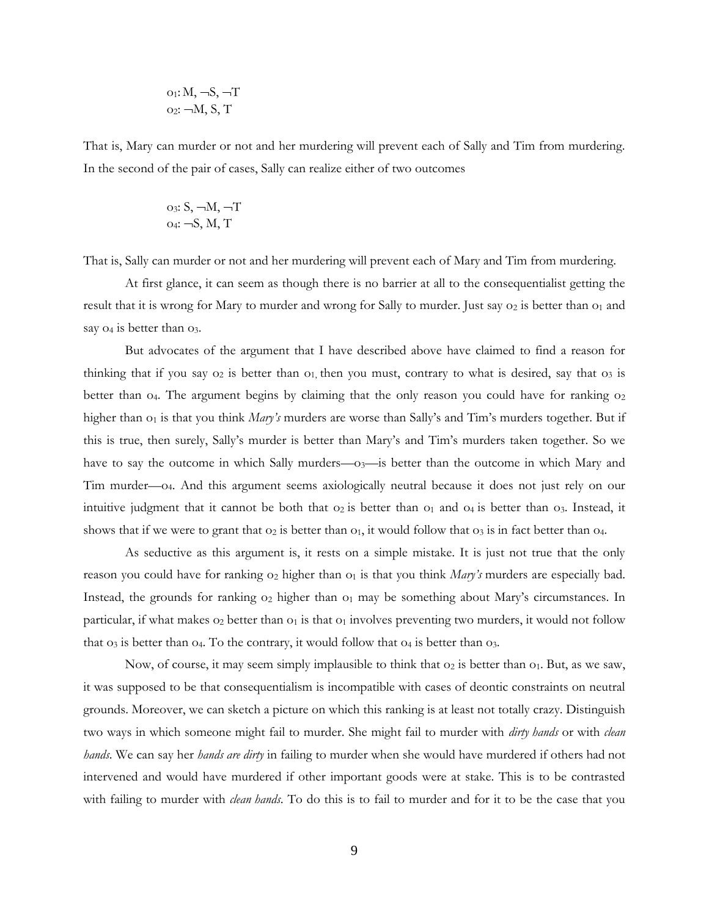$$
o_1: M, \neg S, \neg T
$$
  

$$
o_2: \neg M, S, T
$$

That is, Mary can murder or not and her murdering will prevent each of Sally and Tim from murdering. In the second of the pair of cases, Sally can realize either of two outcomes

o3: S, M, T o4: S, M, T

That is, Sally can murder or not and her murdering will prevent each of Mary and Tim from murdering.

At first glance, it can seem as though there is no barrier at all to the consequentialist getting the result that it is wrong for Mary to murder and wrong for Sally to murder. Just say  $o_2$  is better than  $o_1$  and say  $o_4$  is better than  $o_3$ .

But advocates of the argument that I have described above have claimed to find a reason for thinking that if you say  $o_2$  is better than  $o_1$ , then you must, contrary to what is desired, say that  $o_3$  is better than  $o_4$ . The argument begins by claiming that the only reason you could have for ranking  $o_2$ higher than  $o<sub>1</sub>$  is that you think *Mary's* murders are worse than Sally's and Tim's murders together. But if this is true, then surely, Sally's murder is better than Mary's and Tim's murders taken together. So we have to say the outcome in which Sally murders—o<sub>3</sub>—is better than the outcome in which Mary and Tim murder—o4. And this argument seems axiologically neutral because it does not just rely on our intuitive judgment that it cannot be both that  $o_2$  is better than  $o_1$  and  $o_4$  is better than  $o_3$ . Instead, it shows that if we were to grant that  $o_2$  is better than  $o_1$ , it would follow that  $o_3$  is in fact better than  $o_4$ .

As seductive as this argument is, it rests on a simple mistake. It is just not true that the only reason you could have for ranking  $o_2$  higher than  $o_1$  is that you think *Mary's* murders are especially bad. Instead, the grounds for ranking  $o_2$  higher than  $o_1$  may be something about Mary's circumstances. In particular, if what makes  $o_2$  better than  $o_1$  is that  $o_1$  involves preventing two murders, it would not follow that  $o_3$  is better than  $o_4$ . To the contrary, it would follow that  $o_4$  is better than  $o_3$ .

Now, of course, it may seem simply implausible to think that  $o_2$  is better than  $o_1$ . But, as we saw, it was supposed to be that consequentialism is incompatible with cases of deontic constraints on neutral grounds. Moreover, we can sketch a picture on which this ranking is at least not totally crazy. Distinguish two ways in which someone might fail to murder. She might fail to murder with *dirty hands* or with *clean hands*. We can say her *hands are dirty* in failing to murder when she would have murdered if others had not intervened and would have murdered if other important goods were at stake. This is to be contrasted with failing to murder with *clean hands*. To do this is to fail to murder and for it to be the case that you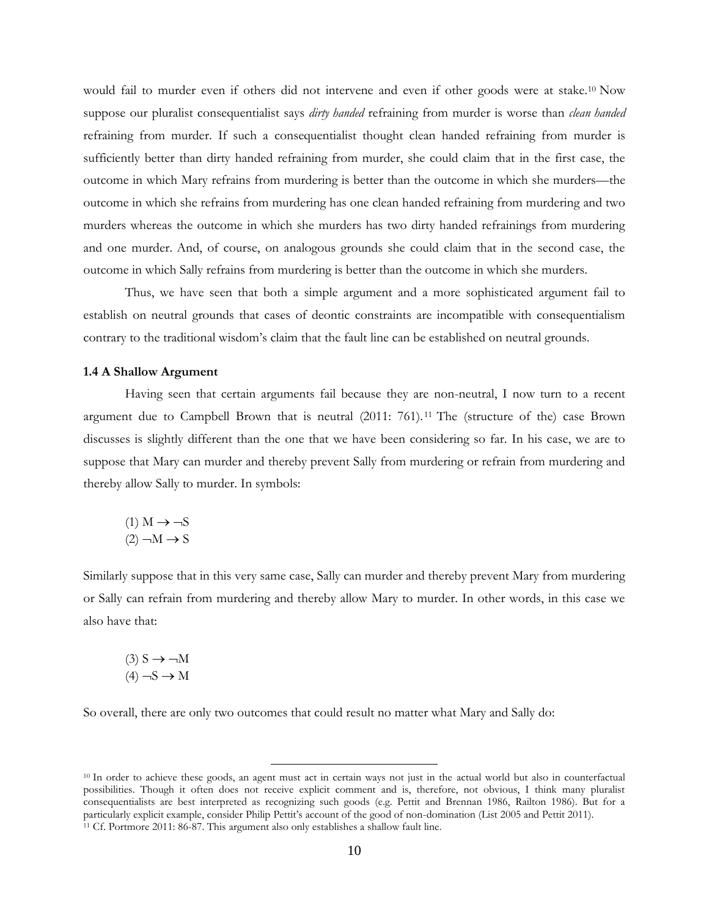would fail to murder even if others did not intervene and even if other goods were at stake.<sup>10</sup> Now suppose our pluralist consequentialist says *dirty handed* refraining from murder is worse than *clean handed* refraining from murder. If such a consequentialist thought clean handed refraining from murder is sufficiently better than dirty handed refraining from murder, she could claim that in the first case, the outcome in which Mary refrains from murdering is better than the outcome in which she murders—the outcome in which she refrains from murdering has one clean handed refraining from murdering and two murders whereas the outcome in which she murders has two dirty handed refrainings from murdering and one murder. And, of course, on analogous grounds she could claim that in the second case, the outcome in which Sally refrains from murdering is better than the outcome in which she murders.

Thus, we have seen that both a simple argument and a more sophisticated argument fail to establish on neutral grounds that cases of deontic constraints are incompatible with consequentialism contrary to the traditional wisdom's claim that the fault line can be established on neutral grounds.

#### **1.4 A Shallow Argument**

Having seen that certain arguments fail because they are non-neutral, I now turn to a recent argument due to Campbell Brown that is neutral (2011: 761). <sup>11</sup> The (structure of the) case Brown discusses is slightly different than the one that we have been considering so far. In his case, we are to suppose that Mary can murder and thereby prevent Sally from murdering or refrain from murdering and thereby allow Sally to murder. In symbols:

$$
(1) M \rightarrow \neg S
$$

$$
(2) \neg M \rightarrow S
$$

Similarly suppose that in this very same case, Sally can murder and thereby prevent Mary from murdering or Sally can refrain from murdering and thereby allow Mary to murder. In other words, in this case we also have that:

$$
(3) S \rightarrow \neg M
$$

$$
(4) \neg S \rightarrow M
$$

So overall, there are only two outcomes that could result no matter what Mary and Sally do:

<sup>10</sup> In order to achieve these goods, an agent must act in certain ways not just in the actual world but also in counterfactual possibilities. Though it often does not receive explicit comment and is, therefore, not obvious, I think many pluralist consequentialists are best interpreted as recognizing such goods (e.g. Pettit and Brennan 1986, Railton 1986). But for a particularly explicit example, consider Philip Pettit's account of the good of non-domination (List 2005 and Pettit 2011). <sup>11</sup> Cf. Portmore 2011: 86-87. This argument also only establishes a shallow fault line.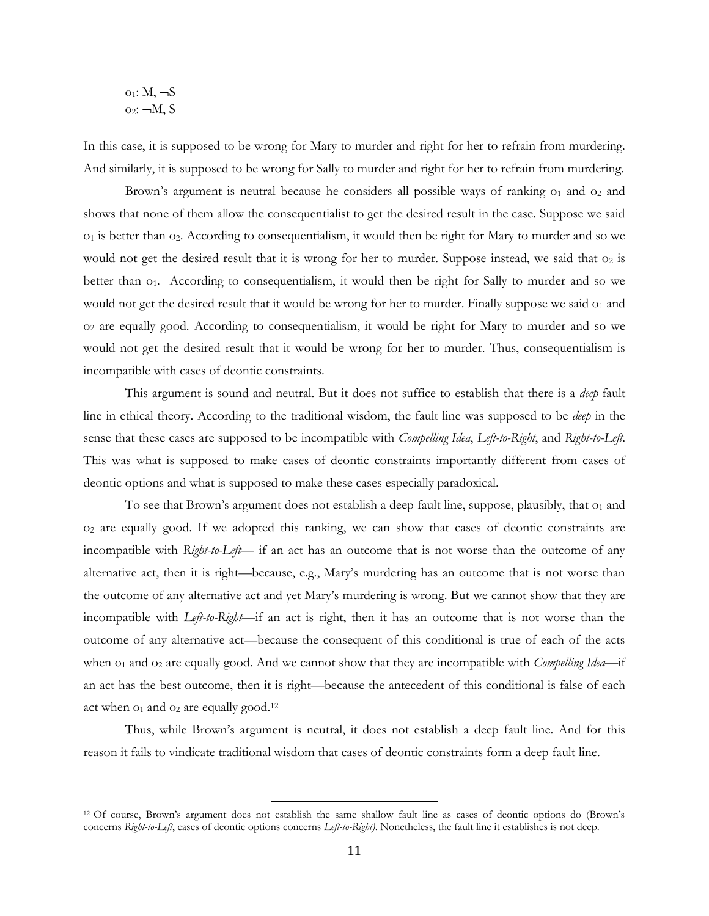$$
\begin{array}{c}\n o_1: M, \neg S \\
o_2: \neg M, S\n\end{array}
$$

In this case, it is supposed to be wrong for Mary to murder and right for her to refrain from murdering. And similarly, it is supposed to be wrong for Sally to murder and right for her to refrain from murdering.

Brown's argument is neutral because he considers all possible ways of ranking  $o<sub>1</sub>$  and  $o<sub>2</sub>$  and shows that none of them allow the consequentialist to get the desired result in the case. Suppose we said  $o_1$  is better than  $o_2$ . According to consequentialism, it would then be right for Mary to murder and so we would not get the desired result that it is wrong for her to murder. Suppose instead, we said that  $o_2$  is better than o<sub>1</sub>. According to consequentialism, it would then be right for Sally to murder and so we would not get the desired result that it would be wrong for her to murder. Finally suppose we said  $o<sub>1</sub>$  and o<sup>2</sup> are equally good. According to consequentialism, it would be right for Mary to murder and so we would not get the desired result that it would be wrong for her to murder. Thus, consequentialism is incompatible with cases of deontic constraints.

This argument is sound and neutral. But it does not suffice to establish that there is a *deep* fault line in ethical theory. According to the traditional wisdom, the fault line was supposed to be *deep* in the sense that these cases are supposed to be incompatible with *Compelling Idea*, *Left-to-Right*, and *Right-to-Left*. This was what is supposed to make cases of deontic constraints importantly different from cases of deontic options and what is supposed to make these cases especially paradoxical.

To see that Brown's argument does not establish a deep fault line, suppose, plausibly, that  $o_1$  and o<sup>2</sup> are equally good. If we adopted this ranking, we can show that cases of deontic constraints are incompatible with *Right-to-Left*— if an act has an outcome that is not worse than the outcome of any alternative act, then it is right—because, e.g., Mary's murdering has an outcome that is not worse than the outcome of any alternative act and yet Mary's murdering is wrong. But we cannot show that they are incompatible with *Left-to-Right*—if an act is right, then it has an outcome that is not worse than the outcome of any alternative act—because the consequent of this conditional is true of each of the acts when  $o_1$  and  $o_2$  are equally good. And we cannot show that they are incompatible with *Compelling Idea*—if an act has the best outcome, then it is right—because the antecedent of this conditional is false of each act when  $o_1$  and  $o_2$  are equally good.<sup>12</sup>

Thus, while Brown's argument is neutral, it does not establish a deep fault line. And for this reason it fails to vindicate traditional wisdom that cases of deontic constraints form a deep fault line.

<sup>12</sup> Of course, Brown's argument does not establish the same shallow fault line as cases of deontic options do (Brown's concerns *Right-to-Left*, cases of deontic options concerns *Left-to-Right)*. Nonetheless, the fault line it establishes is not deep.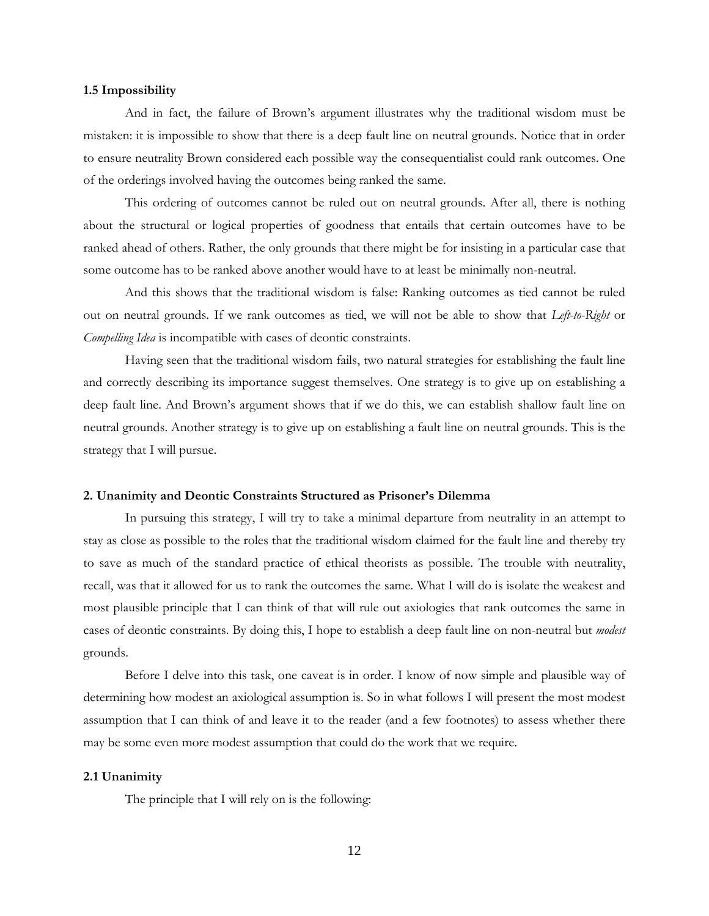#### **1.5 Impossibility**

And in fact, the failure of Brown's argument illustrates why the traditional wisdom must be mistaken: it is impossible to show that there is a deep fault line on neutral grounds. Notice that in order to ensure neutrality Brown considered each possible way the consequentialist could rank outcomes. One of the orderings involved having the outcomes being ranked the same.

This ordering of outcomes cannot be ruled out on neutral grounds. After all, there is nothing about the structural or logical properties of goodness that entails that certain outcomes have to be ranked ahead of others. Rather, the only grounds that there might be for insisting in a particular case that some outcome has to be ranked above another would have to at least be minimally non-neutral.

And this shows that the traditional wisdom is false: Ranking outcomes as tied cannot be ruled out on neutral grounds. If we rank outcomes as tied, we will not be able to show that *Left-to-Right* or *Compelling Idea* is incompatible with cases of deontic constraints.

Having seen that the traditional wisdom fails, two natural strategies for establishing the fault line and correctly describing its importance suggest themselves. One strategy is to give up on establishing a deep fault line. And Brown's argument shows that if we do this, we can establish shallow fault line on neutral grounds. Another strategy is to give up on establishing a fault line on neutral grounds. This is the strategy that I will pursue.

## **2. Unanimity and Deontic Constraints Structured as Prisoner's Dilemma**

In pursuing this strategy, I will try to take a minimal departure from neutrality in an attempt to stay as close as possible to the roles that the traditional wisdom claimed for the fault line and thereby try to save as much of the standard practice of ethical theorists as possible. The trouble with neutrality, recall, was that it allowed for us to rank the outcomes the same. What I will do is isolate the weakest and most plausible principle that I can think of that will rule out axiologies that rank outcomes the same in cases of deontic constraints. By doing this, I hope to establish a deep fault line on non-neutral but *modest* grounds.

Before I delve into this task, one caveat is in order. I know of now simple and plausible way of determining how modest an axiological assumption is. So in what follows I will present the most modest assumption that I can think of and leave it to the reader (and a few footnotes) to assess whether there may be some even more modest assumption that could do the work that we require.

## **2.1 Unanimity**

The principle that I will rely on is the following: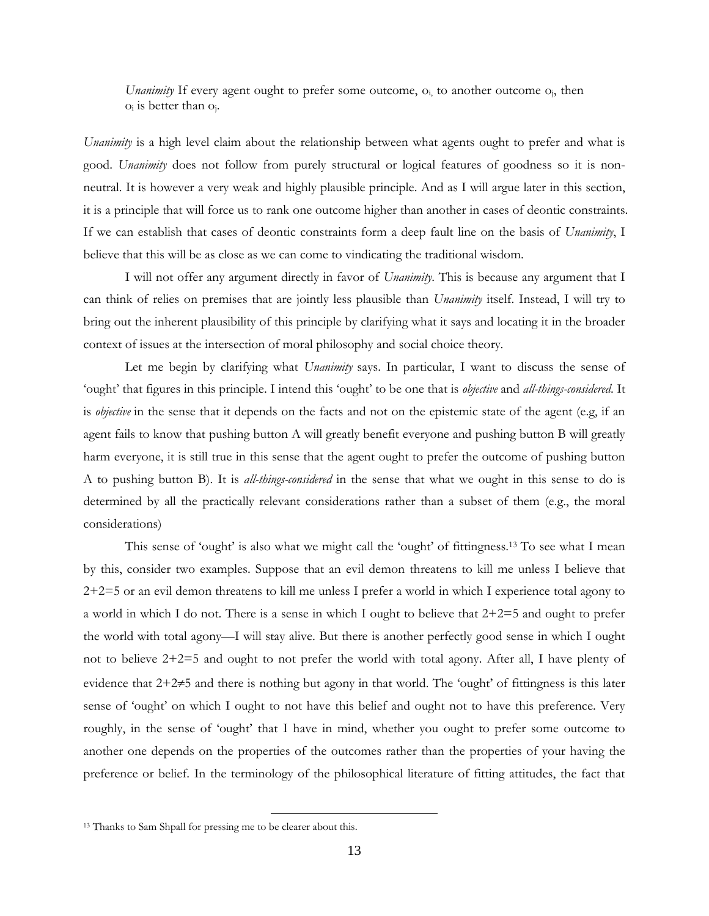*Unanimity* If every agent ought to prefer some outcome, o<sub>i</sub>, to another outcome o<sub>i</sub>, then  $o_i$  is better than  $o_i$ .

*Unanimity* is a high level claim about the relationship between what agents ought to prefer and what is good. *Unanimity* does not follow from purely structural or logical features of goodness so it is nonneutral. It is however a very weak and highly plausible principle. And as I will argue later in this section, it is a principle that will force us to rank one outcome higher than another in cases of deontic constraints. If we can establish that cases of deontic constraints form a deep fault line on the basis of *Unanimity*, I believe that this will be as close as we can come to vindicating the traditional wisdom.

I will not offer any argument directly in favor of *Unanimity*. This is because any argument that I can think of relies on premises that are jointly less plausible than *Unanimity* itself. Instead, I will try to bring out the inherent plausibility of this principle by clarifying what it says and locating it in the broader context of issues at the intersection of moral philosophy and social choice theory.

Let me begin by clarifying what *Unanimity* says. In particular, I want to discuss the sense of 'ought' that figures in this principle. I intend this 'ought' to be one that is *objective* and *all-things-considered*. It is *objective* in the sense that it depends on the facts and not on the epistemic state of the agent (e.g, if an agent fails to know that pushing button A will greatly benefit everyone and pushing button B will greatly harm everyone, it is still true in this sense that the agent ought to prefer the outcome of pushing button A to pushing button B). It is *all-things-considered* in the sense that what we ought in this sense to do is determined by all the practically relevant considerations rather than a subset of them (e.g., the moral considerations)

This sense of 'ought' is also what we might call the 'ought' of fittingness.<sup>13</sup> To see what I mean by this, consider two examples. Suppose that an evil demon threatens to kill me unless I believe that 2+2=5 or an evil demon threatens to kill me unless I prefer a world in which I experience total agony to a world in which I do not. There is a sense in which I ought to believe that 2+2=5 and ought to prefer the world with total agony—I will stay alive. But there is another perfectly good sense in which I ought not to believe 2+2=5 and ought to not prefer the world with total agony. After all, I have plenty of evidence that  $2+2\neq 5$  and there is nothing but agony in that world. The 'ought' of fittingness is this later sense of 'ought' on which I ought to not have this belief and ought not to have this preference. Very roughly, in the sense of 'ought' that I have in mind, whether you ought to prefer some outcome to another one depends on the properties of the outcomes rather than the properties of your having the preference or belief. In the terminology of the philosophical literature of fitting attitudes, the fact that

<sup>13</sup> Thanks to Sam Shpall for pressing me to be clearer about this.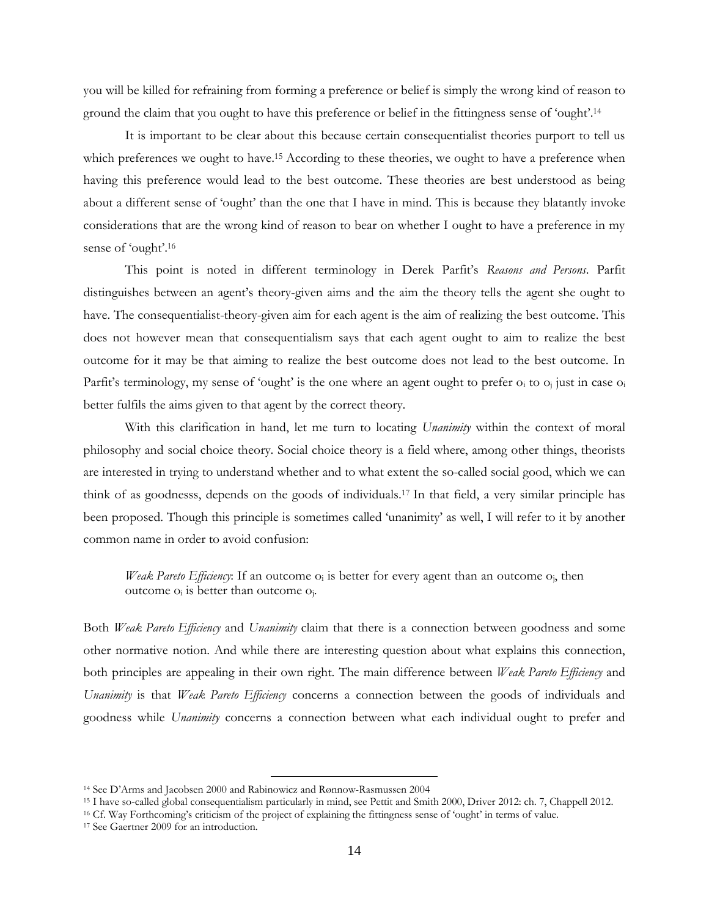you will be killed for refraining from forming a preference or belief is simply the wrong kind of reason to ground the claim that you ought to have this preference or belief in the fittingness sense of 'ought'.<sup>14</sup>

It is important to be clear about this because certain consequentialist theories purport to tell us which preferences we ought to have.<sup>15</sup> According to these theories, we ought to have a preference when having this preference would lead to the best outcome. These theories are best understood as being about a different sense of 'ought' than the one that I have in mind. This is because they blatantly invoke considerations that are the wrong kind of reason to bear on whether I ought to have a preference in my sense of 'ought'.<sup>16</sup>

This point is noted in different terminology in Derek Parfit's *Reasons and Persons*. Parfit distinguishes between an agent's theory-given aims and the aim the theory tells the agent she ought to have. The consequentialist-theory-given aim for each agent is the aim of realizing the best outcome. This does not however mean that consequentialism says that each agent ought to aim to realize the best outcome for it may be that aiming to realize the best outcome does not lead to the best outcome. In Parfit's terminology, my sense of 'ought' is the one where an agent ought to prefer  $o_i$  to  $o_j$  just in case  $o_i$ better fulfils the aims given to that agent by the correct theory.

With this clarification in hand, let me turn to locating *Unanimity* within the context of moral philosophy and social choice theory. Social choice theory is a field where, among other things, theorists are interested in trying to understand whether and to what extent the so-called social good, which we can think of as goodnesss, depends on the goods of individuals.<sup>17</sup> In that field, a very similar principle has been proposed. Though this principle is sometimes called 'unanimity' as well, I will refer to it by another common name in order to avoid confusion:

*Weak Pareto Efficiency*: If an outcome  $o_i$  is better for every agent than an outcome  $o_i$ , then outcome  $o_i$  is better than outcome  $o_i$ .

Both *Weak Pareto Efficiency* and *Unanimity* claim that there is a connection between goodness and some other normative notion. And while there are interesting question about what explains this connection, both principles are appealing in their own right. The main difference between *Weak Pareto Efficiency* and *Unanimity* is that *Weak Pareto Efficiency* concerns a connection between the goods of individuals and goodness while *Unanimity* concerns a connection between what each individual ought to prefer and

<sup>14</sup> See D'Arms and Jacobsen 2000 and Rabinowicz and Rønnow-Rasmussen 2004

<sup>15</sup> I have so-called global consequentialism particularly in mind, see Pettit and Smith 2000, Driver 2012: ch. 7, Chappell 2012.

<sup>16</sup> Cf. Way Forthcoming's criticism of the project of explaining the fittingness sense of 'ought' in terms of value.

<sup>17</sup> See Gaertner 2009 for an introduction.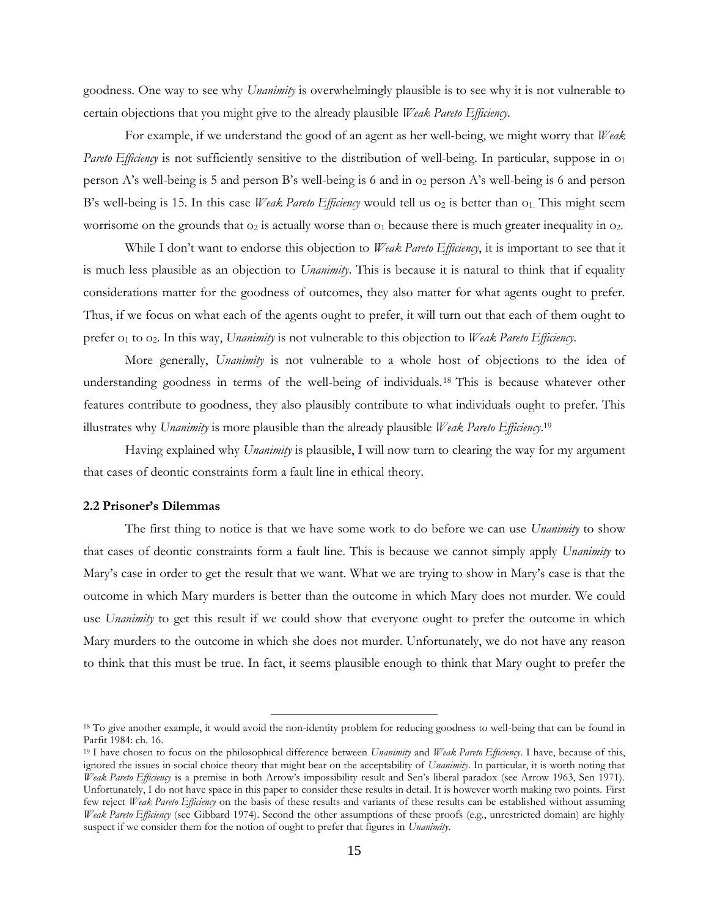goodness. One way to see why *Unanimity* is overwhelmingly plausible is to see why it is not vulnerable to certain objections that you might give to the already plausible *Weak Pareto Efficiency*.

For example, if we understand the good of an agent as her well-being, we might worry that *Weak Pareto Efficiency* is not sufficiently sensitive to the distribution of well-being. In particular, suppose in  $o_1$ person A's well-being is 5 and person B's well-being is 6 and in  $o<sub>2</sub>$  person A's well-being is 6 and person B's well-being is 15. In this case *Weak Pareto Efficiency* would tell us  $o_2$  is better than  $o_1$ . This might seem worrisome on the grounds that  $o_2$  is actually worse than  $o_1$  because there is much greater inequality in  $o_2$ .

While I don't want to endorse this objection to *Weak Pareto Efficiency*, it is important to see that it is much less plausible as an objection to *Unanimity*. This is because it is natural to think that if equality considerations matter for the goodness of outcomes, they also matter for what agents ought to prefer. Thus, if we focus on what each of the agents ought to prefer, it will turn out that each of them ought to prefer o<sup>1</sup> to o2. In this way, *Unanimity* is not vulnerable to this objection to *Weak Pareto Efficiency*.

More generally, *Unanimity* is not vulnerable to a whole host of objections to the idea of understanding goodness in terms of the well-being of individuals.<sup>18</sup> This is because whatever other features contribute to goodness, they also plausibly contribute to what individuals ought to prefer. This illustrates why *Unanimity* is more plausible than the already plausible *Weak Pareto Efficiency*. 19

Having explained why *Unanimity* is plausible, I will now turn to clearing the way for my argument that cases of deontic constraints form a fault line in ethical theory.

## **2.2 Prisoner's Dilemmas**

The first thing to notice is that we have some work to do before we can use *Unanimity* to show that cases of deontic constraints form a fault line. This is because we cannot simply apply *Unanimity* to Mary's case in order to get the result that we want. What we are trying to show in Mary's case is that the outcome in which Mary murders is better than the outcome in which Mary does not murder. We could use *Unanimity* to get this result if we could show that everyone ought to prefer the outcome in which Mary murders to the outcome in which she does not murder. Unfortunately, we do not have any reason to think that this must be true. In fact, it seems plausible enough to think that Mary ought to prefer the

<sup>&</sup>lt;sup>18</sup> To give another example, it would avoid the non-identity problem for reducing goodness to well-being that can be found in Parfit 1984: ch. 16.

<sup>19</sup> I have chosen to focus on the philosophical difference between *Unanimity* and *Weak Pareto Efficiency*. I have, because of this, ignored the issues in social choice theory that might bear on the acceptability of *Unanimity*. In particular, it is worth noting that *Weak Pareto Efficiency* is a premise in both Arrow's impossibility result and Sen's liberal paradox (see Arrow 1963, Sen 1971). Unfortunately, I do not have space in this paper to consider these results in detail. It is however worth making two points. First few reject *Weak Pareto Efficiency* on the basis of these results and variants of these results can be established without assuming *Weak Pareto Efficiency* (see Gibbard 1974). Second the other assumptions of these proofs (e.g., unrestricted domain) are highly suspect if we consider them for the notion of ought to prefer that figures in *Unanimity*.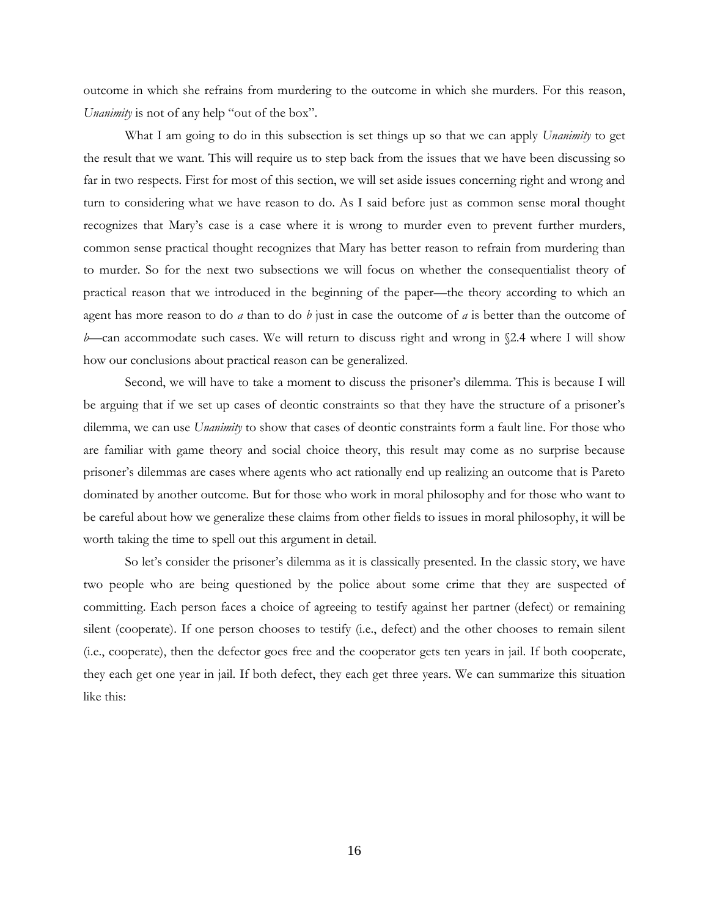outcome in which she refrains from murdering to the outcome in which she murders. For this reason, *Unanimity* is not of any help "out of the box".

What I am going to do in this subsection is set things up so that we can apply *Unanimity* to get the result that we want. This will require us to step back from the issues that we have been discussing so far in two respects. First for most of this section, we will set aside issues concerning right and wrong and turn to considering what we have reason to do. As I said before just as common sense moral thought recognizes that Mary's case is a case where it is wrong to murder even to prevent further murders, common sense practical thought recognizes that Mary has better reason to refrain from murdering than to murder. So for the next two subsections we will focus on whether the consequentialist theory of practical reason that we introduced in the beginning of the paper—the theory according to which an agent has more reason to do *a* than to do *b* just in case the outcome of *a* is better than the outcome of *b*—can accommodate such cases. We will return to discuss right and wrong in §2.4 where I will show how our conclusions about practical reason can be generalized.

Second, we will have to take a moment to discuss the prisoner's dilemma. This is because I will be arguing that if we set up cases of deontic constraints so that they have the structure of a prisoner's dilemma, we can use *Unanimity* to show that cases of deontic constraints form a fault line. For those who are familiar with game theory and social choice theory, this result may come as no surprise because prisoner's dilemmas are cases where agents who act rationally end up realizing an outcome that is Pareto dominated by another outcome. But for those who work in moral philosophy and for those who want to be careful about how we generalize these claims from other fields to issues in moral philosophy, it will be worth taking the time to spell out this argument in detail.

So let's consider the prisoner's dilemma as it is classically presented. In the classic story, we have two people who are being questioned by the police about some crime that they are suspected of committing. Each person faces a choice of agreeing to testify against her partner (defect) or remaining silent (cooperate). If one person chooses to testify (i.e., defect) and the other chooses to remain silent (i.e., cooperate), then the defector goes free and the cooperator gets ten years in jail. If both cooperate, they each get one year in jail. If both defect, they each get three years. We can summarize this situation like this: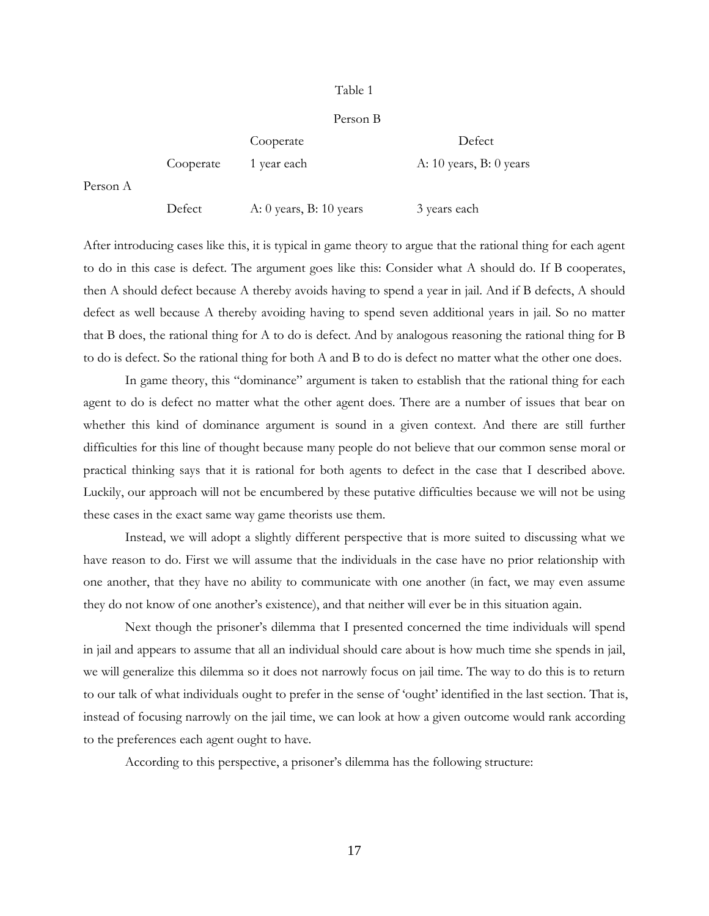#### Table 1

#### Person B

|          |           | Cooperate                 | Defect                      |
|----------|-----------|---------------------------|-----------------------------|
|          | Cooperate | 1 year each               | A: $10$ years, B: $0$ years |
| Person A |           |                           |                             |
|          | Defect    | A: 0 years, B: $10$ years | 3 years each                |

After introducing cases like this, it is typical in game theory to argue that the rational thing for each agent to do in this case is defect. The argument goes like this: Consider what A should do. If B cooperates, then A should defect because A thereby avoids having to spend a year in jail. And if B defects, A should defect as well because A thereby avoiding having to spend seven additional years in jail. So no matter that B does, the rational thing for A to do is defect. And by analogous reasoning the rational thing for B to do is defect. So the rational thing for both A and B to do is defect no matter what the other one does.

In game theory, this "dominance" argument is taken to establish that the rational thing for each agent to do is defect no matter what the other agent does. There are a number of issues that bear on whether this kind of dominance argument is sound in a given context. And there are still further difficulties for this line of thought because many people do not believe that our common sense moral or practical thinking says that it is rational for both agents to defect in the case that I described above. Luckily, our approach will not be encumbered by these putative difficulties because we will not be using these cases in the exact same way game theorists use them.

Instead, we will adopt a slightly different perspective that is more suited to discussing what we have reason to do. First we will assume that the individuals in the case have no prior relationship with one another, that they have no ability to communicate with one another (in fact, we may even assume they do not know of one another's existence), and that neither will ever be in this situation again.

Next though the prisoner's dilemma that I presented concerned the time individuals will spend in jail and appears to assume that all an individual should care about is how much time she spends in jail, we will generalize this dilemma so it does not narrowly focus on jail time. The way to do this is to return to our talk of what individuals ought to prefer in the sense of 'ought' identified in the last section. That is, instead of focusing narrowly on the jail time, we can look at how a given outcome would rank according to the preferences each agent ought to have.

According to this perspective, a prisoner's dilemma has the following structure: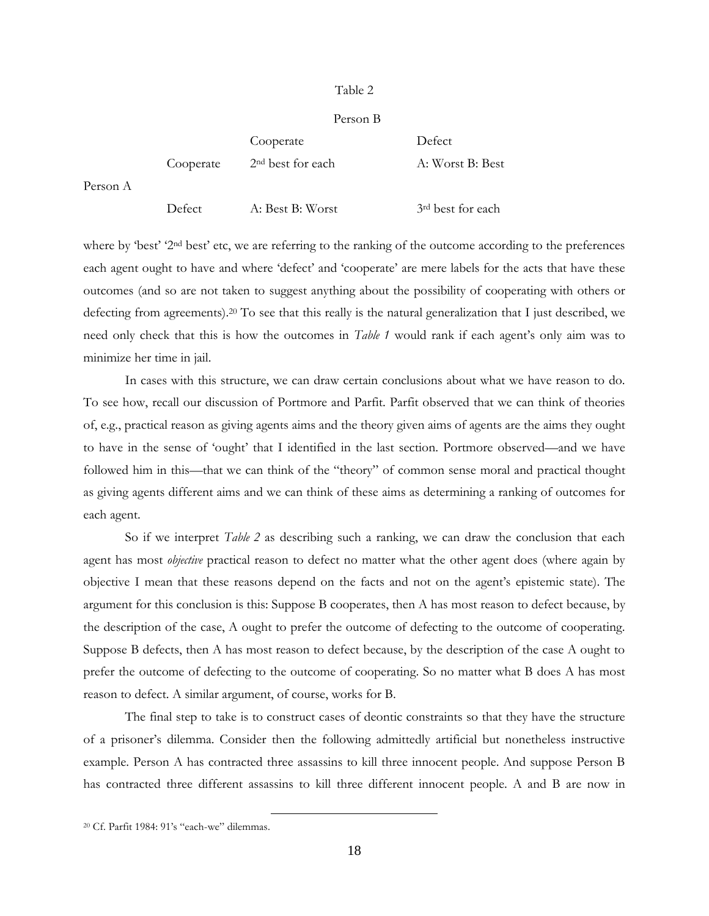#### Table 2

#### Person B

|   |           | Cooperate                     | Defect                        |
|---|-----------|-------------------------------|-------------------------------|
|   | Cooperate | 2 <sup>nd</sup> best for each | A: Worst B: Best              |
| A |           |                               |                               |
|   | Defect    | A: Best B: Worst              | 3 <sup>rd</sup> best for each |

where by 'best' '2<sup>nd</sup> best' etc, we are referring to the ranking of the outcome according to the preferences each agent ought to have and where 'defect' and 'cooperate' are mere labels for the acts that have these outcomes (and so are not taken to suggest anything about the possibility of cooperating with others or defecting from agreements).<sup>20</sup> To see that this really is the natural generalization that I just described, we need only check that this is how the outcomes in *Table 1* would rank if each agent's only aim was to minimize her time in jail.

In cases with this structure, we can draw certain conclusions about what we have reason to do. To see how, recall our discussion of Portmore and Parfit. Parfit observed that we can think of theories of, e.g., practical reason as giving agents aims and the theory given aims of agents are the aims they ought to have in the sense of 'ought' that I identified in the last section. Portmore observed—and we have followed him in this—that we can think of the "theory" of common sense moral and practical thought as giving agents different aims and we can think of these aims as determining a ranking of outcomes for each agent.

So if we interpret *Table 2* as describing such a ranking, we can draw the conclusion that each agent has most *objective* practical reason to defect no matter what the other agent does (where again by objective I mean that these reasons depend on the facts and not on the agent's epistemic state). The argument for this conclusion is this: Suppose B cooperates, then A has most reason to defect because, by the description of the case, A ought to prefer the outcome of defecting to the outcome of cooperating. Suppose B defects, then A has most reason to defect because, by the description of the case A ought to prefer the outcome of defecting to the outcome of cooperating. So no matter what B does A has most reason to defect. A similar argument, of course, works for B.

The final step to take is to construct cases of deontic constraints so that they have the structure of a prisoner's dilemma. Consider then the following admittedly artificial but nonetheless instructive example. Person A has contracted three assassins to kill three innocent people. And suppose Person B has contracted three different assassins to kill three different innocent people. A and B are now in

Person

<sup>20</sup> Cf. Parfit 1984: 91's "each-we" dilemmas.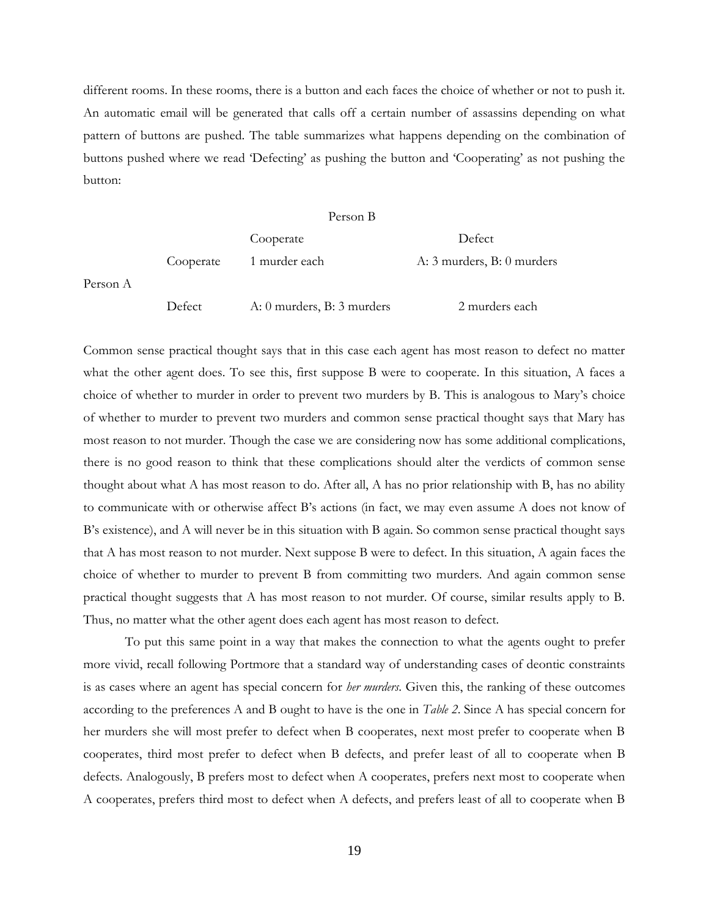different rooms. In these rooms, there is a button and each faces the choice of whether or not to push it. An automatic email will be generated that calls off a certain number of assassins depending on what pattern of buttons are pushed. The table summarizes what happens depending on the combination of buttons pushed where we read 'Defecting' as pushing the button and 'Cooperating' as not pushing the button:

#### Person B

|          |           | Cooperate                  | Defect                     |
|----------|-----------|----------------------------|----------------------------|
|          | Cooperate | 1 murder each              | A: 3 murders, B: 0 murders |
| Person A |           |                            |                            |
|          | Defect    | A: 0 murders, B: 3 murders | 2 murders each             |

Common sense practical thought says that in this case each agent has most reason to defect no matter what the other agent does. To see this, first suppose B were to cooperate. In this situation, A faces a choice of whether to murder in order to prevent two murders by B. This is analogous to Mary's choice of whether to murder to prevent two murders and common sense practical thought says that Mary has most reason to not murder. Though the case we are considering now has some additional complications, there is no good reason to think that these complications should alter the verdicts of common sense thought about what A has most reason to do. After all, A has no prior relationship with B, has no ability to communicate with or otherwise affect B's actions (in fact, we may even assume A does not know of B's existence), and A will never be in this situation with B again. So common sense practical thought says that A has most reason to not murder. Next suppose B were to defect. In this situation, A again faces the choice of whether to murder to prevent B from committing two murders. And again common sense practical thought suggests that A has most reason to not murder. Of course, similar results apply to B. Thus, no matter what the other agent does each agent has most reason to defect.

To put this same point in a way that makes the connection to what the agents ought to prefer more vivid, recall following Portmore that a standard way of understanding cases of deontic constraints is as cases where an agent has special concern for *her murders*. Given this, the ranking of these outcomes according to the preferences A and B ought to have is the one in *Table 2*. Since A has special concern for her murders she will most prefer to defect when B cooperates, next most prefer to cooperate when B cooperates, third most prefer to defect when B defects, and prefer least of all to cooperate when B defects. Analogously, B prefers most to defect when A cooperates, prefers next most to cooperate when A cooperates, prefers third most to defect when A defects, and prefers least of all to cooperate when B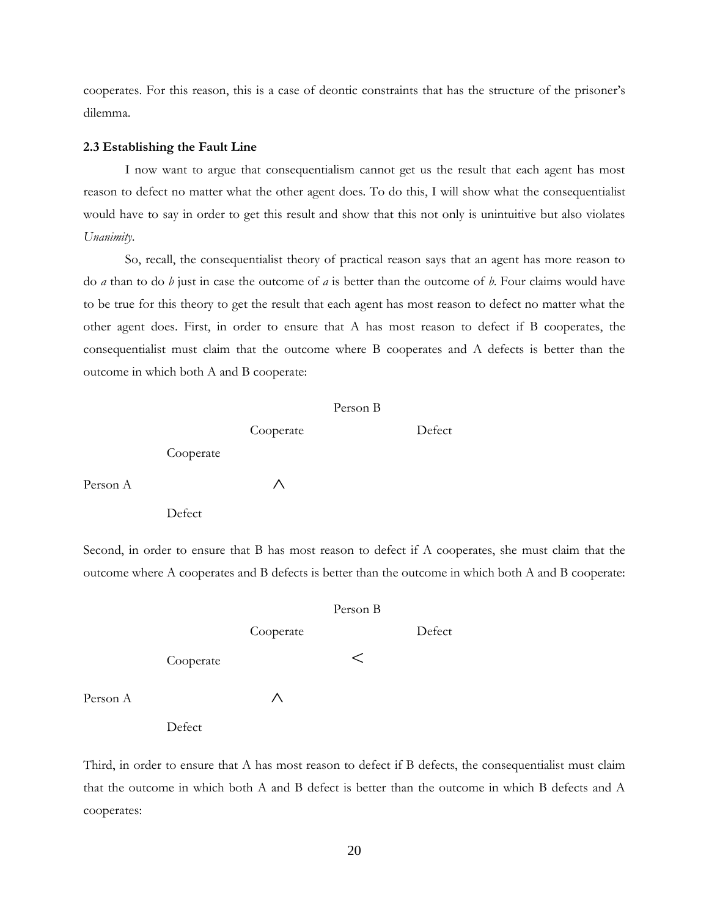cooperates. For this reason, this is a case of deontic constraints that has the structure of the prisoner's dilemma.

## **2.3 Establishing the Fault Line**

I now want to argue that consequentialism cannot get us the result that each agent has most reason to defect no matter what the other agent does. To do this, I will show what the consequentialist would have to say in order to get this result and show that this not only is unintuitive but also violates *Unanimity*.

So, recall, the consequentialist theory of practical reason says that an agent has more reason to do *a* than to do *b* just in case the outcome of *a* is better than the outcome of *b*. Four claims would have to be true for this theory to get the result that each agent has most reason to defect no matter what the other agent does. First, in order to ensure that A has most reason to defect if B cooperates, the consequentialist must claim that the outcome where B cooperates and A defects is better than the outcome in which both A and B cooperate:

|          |           | Person B  |  |        |
|----------|-----------|-----------|--|--------|
|          |           | Cooperate |  | Defect |
|          | Cooperate |           |  |        |
| Person A |           | ∧         |  |        |
|          | Defect    |           |  |        |

Second, in order to ensure that B has most reason to defect if A cooperates, she must claim that the outcome where A cooperates and B defects is better than the outcome in which both A and B cooperate:

|          |           | Person B  |         |        |
|----------|-----------|-----------|---------|--------|
|          |           | Cooperate |         | Defect |
|          | Cooperate |           | $\,<\,$ |        |
| Person A |           | Λ         |         |        |
|          | Defect    |           |         |        |

Third, in order to ensure that A has most reason to defect if B defects, the consequentialist must claim that the outcome in which both A and B defect is better than the outcome in which B defects and A cooperates: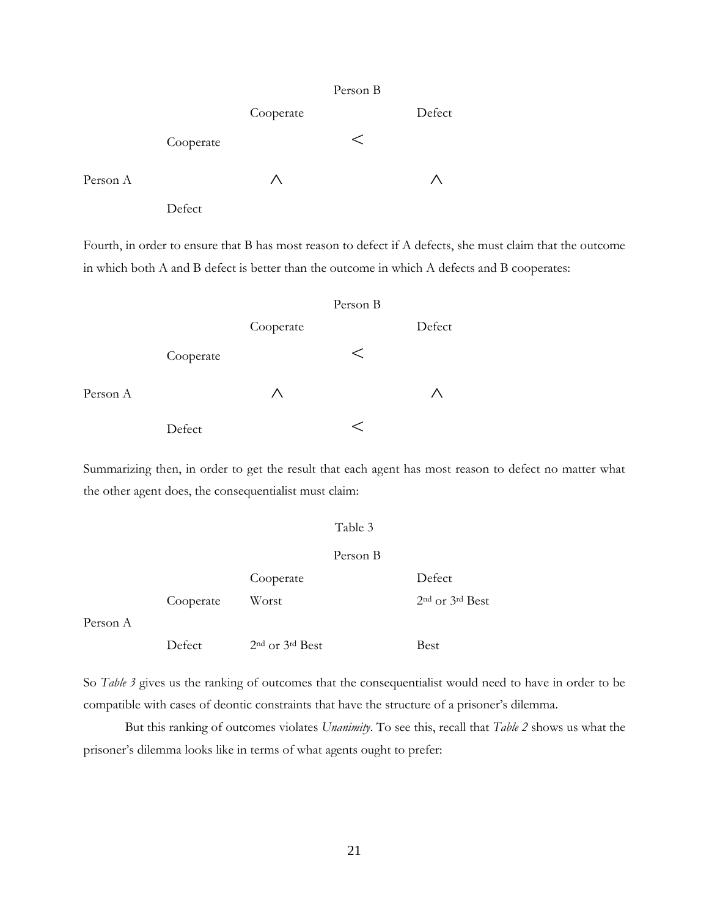|          |           | Person B  |         |        |
|----------|-----------|-----------|---------|--------|
|          |           | Cooperate |         | Defect |
|          | Cooperate |           | $\,<\,$ |        |
| Person A |           | Λ         |         | ∧      |
|          | Defect    |           |         |        |

Fourth, in order to ensure that B has most reason to defect if A defects, she must claim that the outcome in which both A and B defect is better than the outcome in which A defects and B cooperates:

|          |           | Person B  |       |        |
|----------|-----------|-----------|-------|--------|
|          |           | Cooperate |       | Defect |
|          | Cooperate |           | $\lt$ |        |
| Person A |           | Λ         |       |        |
|          | Defect    |           |       |        |

Summarizing then, in order to get the result that each agent has most reason to defect no matter what the other agent does, the consequentialist must claim:

## Table 3

## Person B

|          |           | Cooperate                               | Defect              |
|----------|-----------|-----------------------------------------|---------------------|
|          | Cooperate | Worst                                   | $2nd$ or $3rd$ Best |
| Person A |           |                                         |                     |
|          | Defect    | 2 <sup>nd</sup> or 3 <sup>rd</sup> Best | Best                |

So *Table 3* gives us the ranking of outcomes that the consequentialist would need to have in order to be compatible with cases of deontic constraints that have the structure of a prisoner's dilemma.

But this ranking of outcomes violates *Unanimity*. To see this, recall that *Table 2* shows us what the prisoner's dilemma looks like in terms of what agents ought to prefer: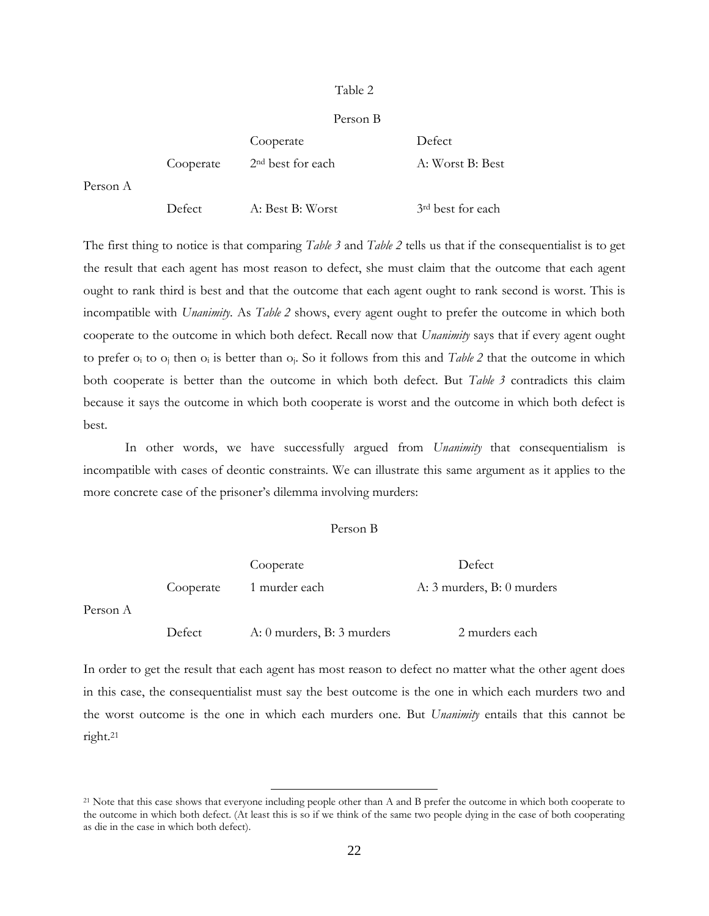## Table 2

## Person B

|          |           | Cooperate                     | Defect                        |
|----------|-----------|-------------------------------|-------------------------------|
|          | Cooperate | 2 <sup>nd</sup> best for each | A: Worst B: Best              |
| Person A |           |                               |                               |
|          | Defect    | A: Best B: Worst              | 3 <sup>rd</sup> best for each |

The first thing to notice is that comparing *Table 3* and *Table 2* tells us that if the consequentialist is to get the result that each agent has most reason to defect, she must claim that the outcome that each agent ought to rank third is best and that the outcome that each agent ought to rank second is worst. This is incompatible with *Unanimity*. As *Table 2* shows, every agent ought to prefer the outcome in which both cooperate to the outcome in which both defect. Recall now that *Unanimity* says that if every agent ought to prefer o<sup>i</sup> to o<sup>j</sup> then o<sup>i</sup> is better than oj. So it follows from this and *Table 2* that the outcome in which both cooperate is better than the outcome in which both defect. But *Table 3* contradicts this claim because it says the outcome in which both cooperate is worst and the outcome in which both defect is best.

In other words, we have successfully argued from *Unanimity* that consequentialism is incompatible with cases of deontic constraints. We can illustrate this same argument as it applies to the more concrete case of the prisoner's dilemma involving murders:

## Person B

|          |           | Cooperate                  | Defect                     |
|----------|-----------|----------------------------|----------------------------|
|          | Cooperate | 1 murder each              | A: 3 murders, B: 0 murders |
| Person A |           |                            |                            |
|          | Defect    | A: 0 murders, B: 3 murders | 2 murders each             |

In order to get the result that each agent has most reason to defect no matter what the other agent does in this case, the consequentialist must say the best outcome is the one in which each murders two and the worst outcome is the one in which each murders one. But *Unanimity* entails that this cannot be right. 21

<sup>21</sup> Note that this case shows that everyone including people other than A and B prefer the outcome in which both cooperate to the outcome in which both defect. (At least this is so if we think of the same two people dying in the case of both cooperating as die in the case in which both defect).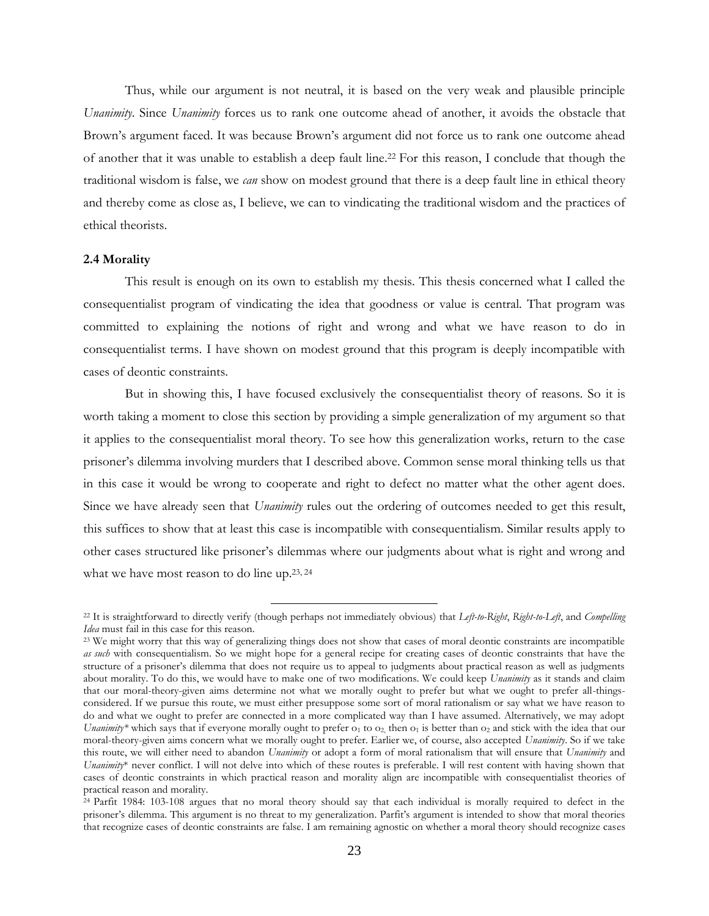Thus, while our argument is not neutral, it is based on the very weak and plausible principle *Unanimity*. Since *Unanimity* forces us to rank one outcome ahead of another, it avoids the obstacle that Brown's argument faced. It was because Brown's argument did not force us to rank one outcome ahead of another that it was unable to establish a deep fault line.<sup>22</sup> For this reason, I conclude that though the traditional wisdom is false, we *can* show on modest ground that there is a deep fault line in ethical theory and thereby come as close as, I believe, we can to vindicating the traditional wisdom and the practices of ethical theorists.

## **2.4 Morality**

This result is enough on its own to establish my thesis. This thesis concerned what I called the consequentialist program of vindicating the idea that goodness or value is central. That program was committed to explaining the notions of right and wrong and what we have reason to do in consequentialist terms. I have shown on modest ground that this program is deeply incompatible with cases of deontic constraints.

But in showing this, I have focused exclusively the consequentialist theory of reasons. So it is worth taking a moment to close this section by providing a simple generalization of my argument so that it applies to the consequentialist moral theory. To see how this generalization works, return to the case prisoner's dilemma involving murders that I described above. Common sense moral thinking tells us that in this case it would be wrong to cooperate and right to defect no matter what the other agent does. Since we have already seen that *Unanimity* rules out the ordering of outcomes needed to get this result, this suffices to show that at least this case is incompatible with consequentialism. Similar results apply to other cases structured like prisoner's dilemmas where our judgments about what is right and wrong and what we have most reason to do line up.<sup>23, 24</sup>

<sup>22</sup> It is straightforward to directly verify (though perhaps not immediately obvious) that *Left-to-Right*, *Right-to-Left*, and *Compelling Idea* must fail in this case for this reason.

<sup>&</sup>lt;sup>23</sup> We might worry that this way of generalizing things does not show that cases of moral deontic constraints are incompatible *as such* with consequentialism. So we might hope for a general recipe for creating cases of deontic constraints that have the structure of a prisoner's dilemma that does not require us to appeal to judgments about practical reason as well as judgments about morality. To do this, we would have to make one of two modifications. We could keep *Unanimity* as it stands and claim that our moral-theory-given aims determine not what we morally ought to prefer but what we ought to prefer all-thingsconsidered. If we pursue this route, we must either presuppose some sort of moral rationalism or say what we have reason to do and what we ought to prefer are connected in a more complicated way than I have assumed. Alternatively, we may adopt *Unanimity\** which says that if everyone morally ought to prefer  $o_1$  to  $o_2$ , then  $o_1$  is better than  $o_2$  and stick with the idea that our moral-theory-given aims concern what we morally ought to prefer. Earlier we, of course, also accepted *Unanimity*. So if we take this route, we will either need to abandon *Unanimity* or adopt a form of moral rationalism that will ensure that *Unanimity* and *Unanimity*\* never conflict. I will not delve into which of these routes is preferable. I will rest content with having shown that cases of deontic constraints in which practical reason and morality align are incompatible with consequentialist theories of practical reason and morality.

 $24$  Parfit 1984: 103-108 argues that no moral theory should say that each individual is morally required to defect in the prisoner's dilemma. This argument is no threat to my generalization. Parfit's argument is intended to show that moral theories that recognize cases of deontic constraints are false. I am remaining agnostic on whether a moral theory should recognize cases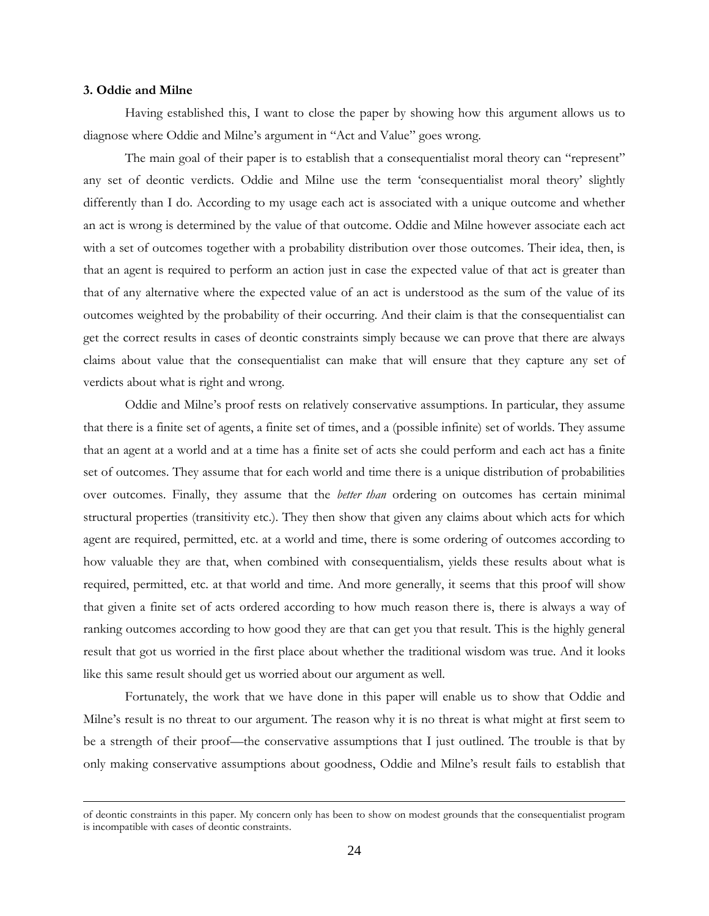## **3. Oddie and Milne**

 $\overline{a}$ 

Having established this, I want to close the paper by showing how this argument allows us to diagnose where Oddie and Milne's argument in "Act and Value" goes wrong.

The main goal of their paper is to establish that a consequentialist moral theory can "represent" any set of deontic verdicts. Oddie and Milne use the term 'consequentialist moral theory' slightly differently than I do. According to my usage each act is associated with a unique outcome and whether an act is wrong is determined by the value of that outcome. Oddie and Milne however associate each act with a set of outcomes together with a probability distribution over those outcomes. Their idea, then, is that an agent is required to perform an action just in case the expected value of that act is greater than that of any alternative where the expected value of an act is understood as the sum of the value of its outcomes weighted by the probability of their occurring. And their claim is that the consequentialist can get the correct results in cases of deontic constraints simply because we can prove that there are always claims about value that the consequentialist can make that will ensure that they capture any set of verdicts about what is right and wrong.

Oddie and Milne's proof rests on relatively conservative assumptions. In particular, they assume that there is a finite set of agents, a finite set of times, and a (possible infinite) set of worlds. They assume that an agent at a world and at a time has a finite set of acts she could perform and each act has a finite set of outcomes. They assume that for each world and time there is a unique distribution of probabilities over outcomes. Finally, they assume that the *better than* ordering on outcomes has certain minimal structural properties (transitivity etc.). They then show that given any claims about which acts for which agent are required, permitted, etc. at a world and time, there is some ordering of outcomes according to how valuable they are that, when combined with consequentialism, yields these results about what is required, permitted, etc. at that world and time. And more generally, it seems that this proof will show that given a finite set of acts ordered according to how much reason there is, there is always a way of ranking outcomes according to how good they are that can get you that result. This is the highly general result that got us worried in the first place about whether the traditional wisdom was true. And it looks like this same result should get us worried about our argument as well.

Fortunately, the work that we have done in this paper will enable us to show that Oddie and Milne's result is no threat to our argument. The reason why it is no threat is what might at first seem to be a strength of their proof—the conservative assumptions that I just outlined. The trouble is that by only making conservative assumptions about goodness, Oddie and Milne's result fails to establish that

of deontic constraints in this paper. My concern only has been to show on modest grounds that the consequentialist program is incompatible with cases of deontic constraints.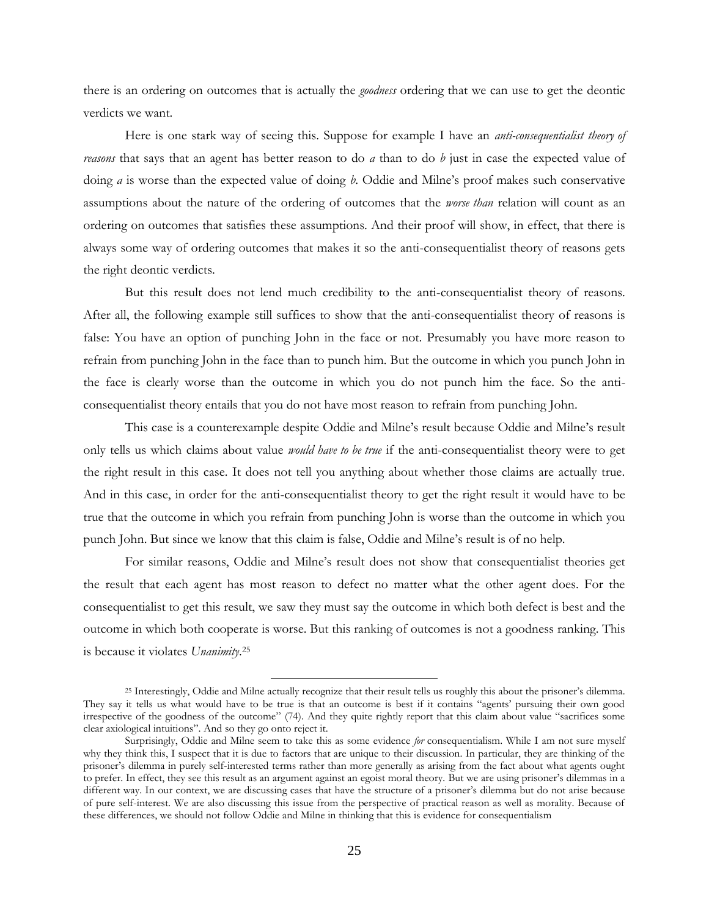there is an ordering on outcomes that is actually the *goodness* ordering that we can use to get the deontic verdicts we want.

Here is one stark way of seeing this. Suppose for example I have an *anti-consequentialist theory of reasons* that says that an agent has better reason to do *a* than to do *b* just in case the expected value of doing *a* is worse than the expected value of doing *b*. Oddie and Milne's proof makes such conservative assumptions about the nature of the ordering of outcomes that the *worse than* relation will count as an ordering on outcomes that satisfies these assumptions. And their proof will show, in effect, that there is always some way of ordering outcomes that makes it so the anti-consequentialist theory of reasons gets the right deontic verdicts.

But this result does not lend much credibility to the anti-consequentialist theory of reasons. After all, the following example still suffices to show that the anti-consequentialist theory of reasons is false: You have an option of punching John in the face or not. Presumably you have more reason to refrain from punching John in the face than to punch him. But the outcome in which you punch John in the face is clearly worse than the outcome in which you do not punch him the face. So the anticonsequentialist theory entails that you do not have most reason to refrain from punching John.

This case is a counterexample despite Oddie and Milne's result because Oddie and Milne's result only tells us which claims about value *would have to be true* if the anti-consequentialist theory were to get the right result in this case. It does not tell you anything about whether those claims are actually true. And in this case, in order for the anti-consequentialist theory to get the right result it would have to be true that the outcome in which you refrain from punching John is worse than the outcome in which you punch John. But since we know that this claim is false, Oddie and Milne's result is of no help.

For similar reasons, Oddie and Milne's result does not show that consequentialist theories get the result that each agent has most reason to defect no matter what the other agent does. For the consequentialist to get this result, we saw they must say the outcome in which both defect is best and the outcome in which both cooperate is worse. But this ranking of outcomes is not a goodness ranking. This is because it violates *Unanimity*. 25

<sup>25</sup> Interestingly, Oddie and Milne actually recognize that their result tells us roughly this about the prisoner's dilemma. They say it tells us what would have to be true is that an outcome is best if it contains "agents' pursuing their own good irrespective of the goodness of the outcome" (74). And they quite rightly report that this claim about value "sacrifices some clear axiological intuitions". And so they go onto reject it.

Surprisingly, Oddie and Milne seem to take this as some evidence *for* consequentialism. While I am not sure myself why they think this, I suspect that it is due to factors that are unique to their discussion. In particular, they are thinking of the prisoner's dilemma in purely self-interested terms rather than more generally as arising from the fact about what agents ought to prefer. In effect, they see this result as an argument against an egoist moral theory. But we are using prisoner's dilemmas in a different way. In our context, we are discussing cases that have the structure of a prisoner's dilemma but do not arise because of pure self-interest. We are also discussing this issue from the perspective of practical reason as well as morality. Because of these differences, we should not follow Oddie and Milne in thinking that this is evidence for consequentialism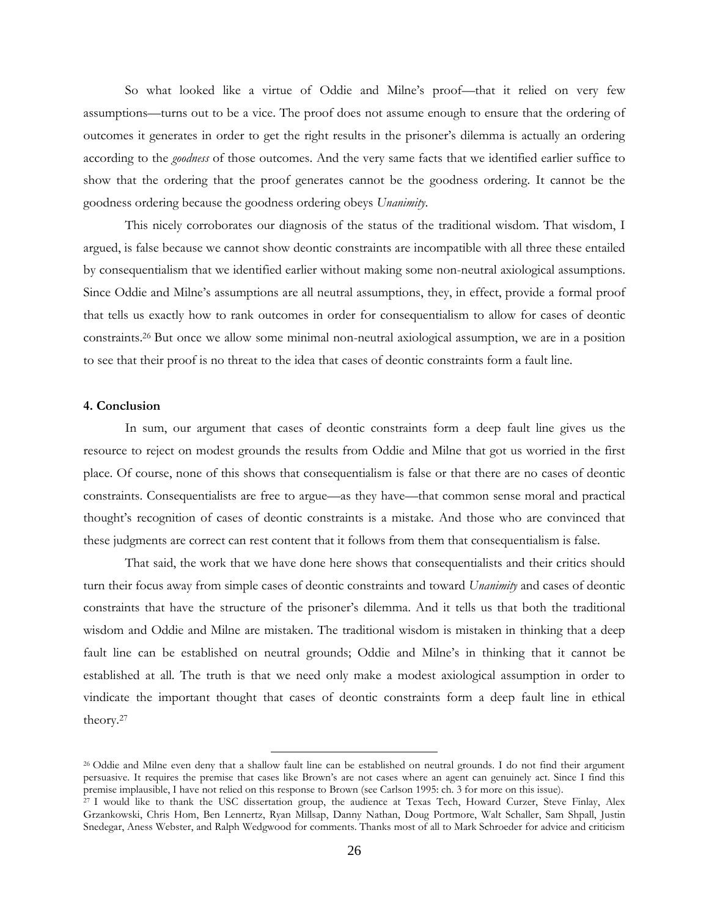So what looked like a virtue of Oddie and Milne's proof—that it relied on very few assumptions—turns out to be a vice. The proof does not assume enough to ensure that the ordering of outcomes it generates in order to get the right results in the prisoner's dilemma is actually an ordering according to the *goodness* of those outcomes. And the very same facts that we identified earlier suffice to show that the ordering that the proof generates cannot be the goodness ordering. It cannot be the goodness ordering because the goodness ordering obeys *Unanimity*.

This nicely corroborates our diagnosis of the status of the traditional wisdom. That wisdom, I argued, is false because we cannot show deontic constraints are incompatible with all three these entailed by consequentialism that we identified earlier without making some non-neutral axiological assumptions. Since Oddie and Milne's assumptions are all neutral assumptions, they, in effect, provide a formal proof that tells us exactly how to rank outcomes in order for consequentialism to allow for cases of deontic constraints.<sup>26</sup> But once we allow some minimal non-neutral axiological assumption, we are in a position to see that their proof is no threat to the idea that cases of deontic constraints form a fault line.

#### **4. Conclusion**

In sum, our argument that cases of deontic constraints form a deep fault line gives us the resource to reject on modest grounds the results from Oddie and Milne that got us worried in the first place. Of course, none of this shows that consequentialism is false or that there are no cases of deontic constraints. Consequentialists are free to argue—as they have—that common sense moral and practical thought's recognition of cases of deontic constraints is a mistake. And those who are convinced that these judgments are correct can rest content that it follows from them that consequentialism is false.

That said, the work that we have done here shows that consequentialists and their critics should turn their focus away from simple cases of deontic constraints and toward *Unanimity* and cases of deontic constraints that have the structure of the prisoner's dilemma. And it tells us that both the traditional wisdom and Oddie and Milne are mistaken. The traditional wisdom is mistaken in thinking that a deep fault line can be established on neutral grounds; Oddie and Milne's in thinking that it cannot be established at all. The truth is that we need only make a modest axiological assumption in order to vindicate the important thought that cases of deontic constraints form a deep fault line in ethical theory.<sup>27</sup>

<sup>26</sup> Oddie and Milne even deny that a shallow fault line can be established on neutral grounds. I do not find their argument persuasive. It requires the premise that cases like Brown's are not cases where an agent can genuinely act. Since I find this premise implausible, I have not relied on this response to Brown (see Carlson 1995: ch. 3 for more on this issue).

<sup>&</sup>lt;sup>27</sup> I would like to thank the USC dissertation group, the audience at Texas Tech, Howard Curzer, Steve Finlay, Alex Grzankowski, Chris Hom, Ben Lennertz, Ryan Millsap, Danny Nathan, Doug Portmore, Walt Schaller, Sam Shpall, Justin Snedegar, Aness Webster, and Ralph Wedgwood for comments. Thanks most of all to Mark Schroeder for advice and criticism